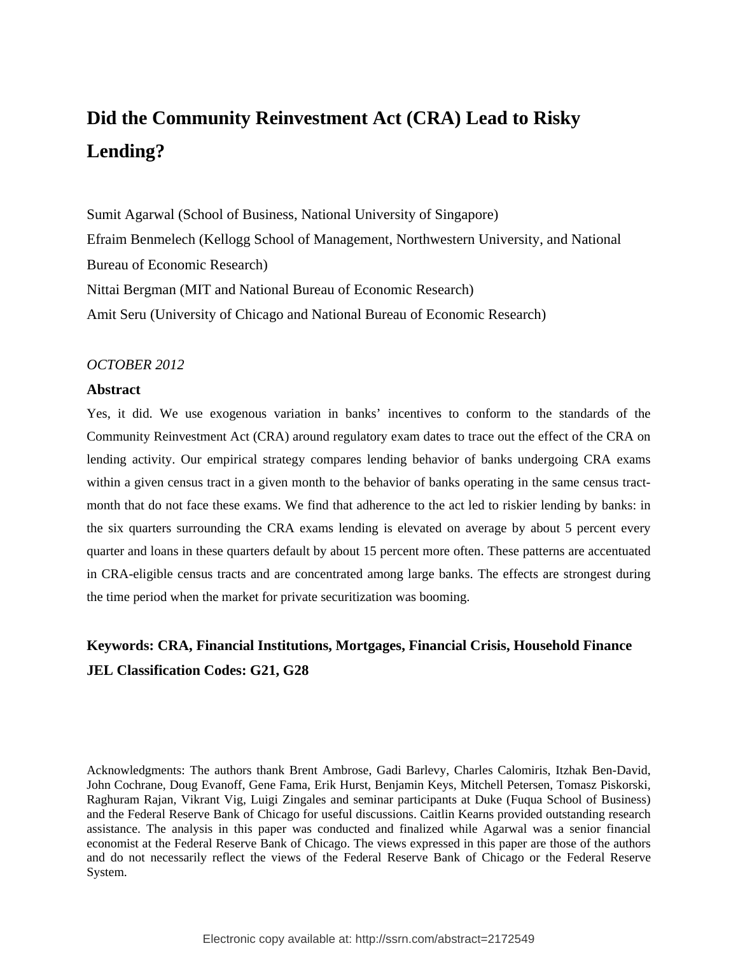# **Did the Community Reinvestment Act (CRA) Lead to Risky Lending?**

Sumit Agarwal (School of Business, National University of Singapore) Efraim Benmelech (Kellogg School of Management, Northwestern University, and National Bureau of Economic Research) Nittai Bergman (MIT and National Bureau of Economic Research) Amit Seru (University of Chicago and National Bureau of Economic Research)

#### *OCTOBER 2012*

#### **Abstract**

Yes, it did. We use exogenous variation in banks' incentives to conform to the standards of the Community Reinvestment Act (CRA) around regulatory exam dates to trace out the effect of the CRA on lending activity. Our empirical strategy compares lending behavior of banks undergoing CRA exams within a given census tract in a given month to the behavior of banks operating in the same census tractmonth that do not face these exams. We find that adherence to the act led to riskier lending by banks: in the six quarters surrounding the CRA exams lending is elevated on average by about 5 percent every quarter and loans in these quarters default by about 15 percent more often. These patterns are accentuated in CRA-eligible census tracts and are concentrated among large banks. The effects are strongest during the time period when the market for private securitization was booming.

# **Keywords: CRA, Financial Institutions, Mortgages, Financial Crisis, Household Finance JEL Classification Codes: G21, G28**

Acknowledgments: The authors thank Brent Ambrose, Gadi Barlevy, Charles Calomiris, Itzhak Ben-David, John Cochrane, Doug Evanoff, Gene Fama, Erik Hurst, Benjamin Keys, Mitchell Petersen, Tomasz Piskorski, Raghuram Rajan, Vikrant Vig, Luigi Zingales and seminar participants at Duke (Fuqua School of Business) and the Federal Reserve Bank of Chicago for useful discussions. Caitlin Kearns provided outstanding research assistance. The analysis in this paper was conducted and finalized while Agarwal was a senior financial economist at the Federal Reserve Bank of Chicago. The views expressed in this paper are those of the authors and do not necessarily reflect the views of the Federal Reserve Bank of Chicago or the Federal Reserve System.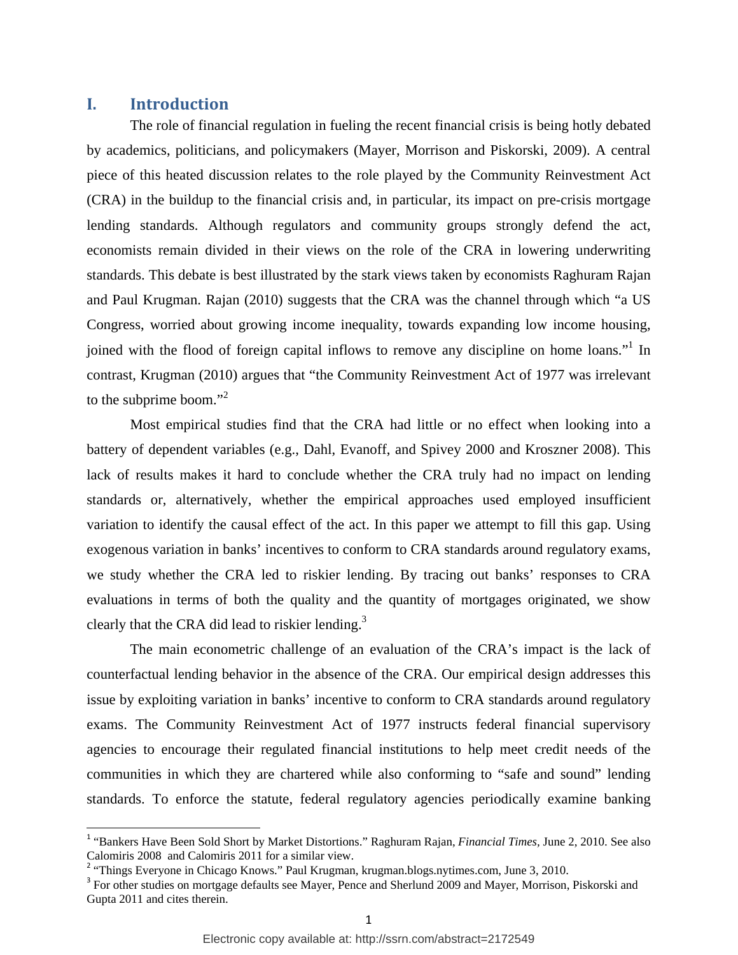# **I. Introduction**

The role of financial regulation in fueling the recent financial crisis is being hotly debated by academics, politicians, and policymakers (Mayer, Morrison and Piskorski, 2009). A central piece of this heated discussion relates to the role played by the Community Reinvestment Act (CRA) in the buildup to the financial crisis and, in particular, its impact on pre-crisis mortgage lending standards. Although regulators and community groups strongly defend the act, economists remain divided in their views on the role of the CRA in lowering underwriting standards. This debate is best illustrated by the stark views taken by economists Raghuram Rajan and Paul Krugman. Rajan (2010) suggests that the CRA was the channel through which "a US Congress, worried about growing income inequality, towards expanding low income housing, joined with the flood of foreign capital inflows to remove any discipline on home loans."<sup>1</sup> In contrast, Krugman (2010) argues that "the Community Reinvestment Act of 1977 was irrelevant to the subprime boom."<sup>2</sup>

Most empirical studies find that the CRA had little or no effect when looking into a battery of dependent variables (e.g., Dahl, Evanoff, and Spivey 2000 and Kroszner 2008). This lack of results makes it hard to conclude whether the CRA truly had no impact on lending standards or, alternatively, whether the empirical approaches used employed insufficient variation to identify the causal effect of the act. In this paper we attempt to fill this gap. Using exogenous variation in banks' incentives to conform to CRA standards around regulatory exams, we study whether the CRA led to riskier lending. By tracing out banks' responses to CRA evaluations in terms of both the quality and the quantity of mortgages originated, we show clearly that the CRA did lead to riskier lending. $3$ 

The main econometric challenge of an evaluation of the CRA's impact is the lack of counterfactual lending behavior in the absence of the CRA. Our empirical design addresses this issue by exploiting variation in banks' incentive to conform to CRA standards around regulatory exams. The Community Reinvestment Act of 1977 instructs federal financial supervisory agencies to encourage their regulated financial institutions to help meet credit needs of the communities in which they are chartered while also conforming to "safe and sound" lending standards. To enforce the statute, federal regulatory agencies periodically examine banking

<sup>&</sup>lt;sup>1</sup> "Bankers Have Been Sold Short by Market Distortions." Raghuram Rajan, *Financial Times*, June 2, 2010. See also Calomiris 2008 and Calomiris 2011 for a similar view.

<sup>&</sup>lt;sup>2</sup> "Things Everyone in Chicago Knows." Paul Krugman, krugman.blogs.nytimes.com, June 3, 2010.

<sup>&</sup>lt;sup>3</sup> For other studies on mortgage defaults see Mayer, Pence and Sherlund 2009 and Mayer, Morrison, Piskorski and Gupta 2011 and cites therein.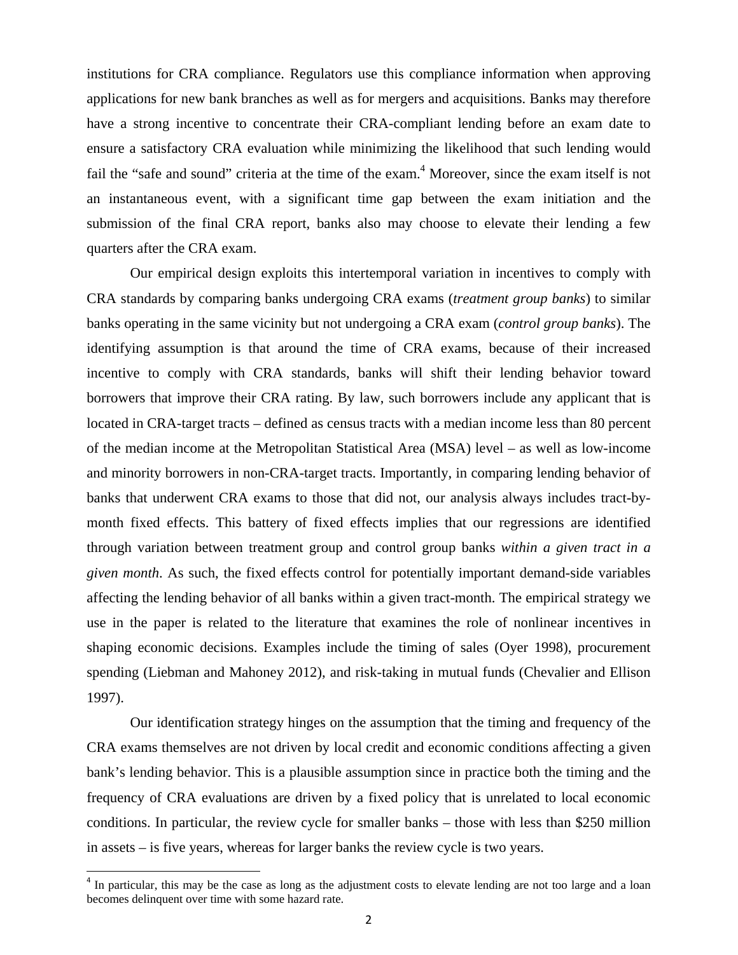institutions for CRA compliance. Regulators use this compliance information when approving applications for new bank branches as well as for mergers and acquisitions. Banks may therefore have a strong incentive to concentrate their CRA-compliant lending before an exam date to ensure a satisfactory CRA evaluation while minimizing the likelihood that such lending would fail the "safe and sound" criteria at the time of the exam.<sup>4</sup> Moreover, since the exam itself is not an instantaneous event, with a significant time gap between the exam initiation and the submission of the final CRA report, banks also may choose to elevate their lending a few quarters after the CRA exam.

 Our empirical design exploits this intertemporal variation in incentives to comply with CRA standards by comparing banks undergoing CRA exams (*treatment group banks*) to similar banks operating in the same vicinity but not undergoing a CRA exam (*control group banks*). The identifying assumption is that around the time of CRA exams, because of their increased incentive to comply with CRA standards, banks will shift their lending behavior toward borrowers that improve their CRA rating. By law, such borrowers include any applicant that is located in CRA-target tracts – defined as census tracts with a median income less than 80 percent of the median income at the Metropolitan Statistical Area (MSA) level – as well as low-income and minority borrowers in non-CRA-target tracts. Importantly, in comparing lending behavior of banks that underwent CRA exams to those that did not, our analysis always includes tract-bymonth fixed effects. This battery of fixed effects implies that our regressions are identified through variation between treatment group and control group banks *within a given tract in a given month*. As such, the fixed effects control for potentially important demand-side variables affecting the lending behavior of all banks within a given tract-month. The empirical strategy we use in the paper is related to the literature that examines the role of nonlinear incentives in shaping economic decisions. Examples include the timing of sales (Oyer 1998), procurement spending (Liebman and Mahoney 2012), and risk-taking in mutual funds (Chevalier and Ellison 1997).

Our identification strategy hinges on the assumption that the timing and frequency of the CRA exams themselves are not driven by local credit and economic conditions affecting a given bank's lending behavior. This is a plausible assumption since in practice both the timing and the frequency of CRA evaluations are driven by a fixed policy that is unrelated to local economic conditions. In particular, the review cycle for smaller banks – those with less than \$250 million in assets – is five years, whereas for larger banks the review cycle is two years.

 $4$  In particular, this may be the case as long as the adjustment costs to elevate lending are not too large and a loan becomes delinquent over time with some hazard rate.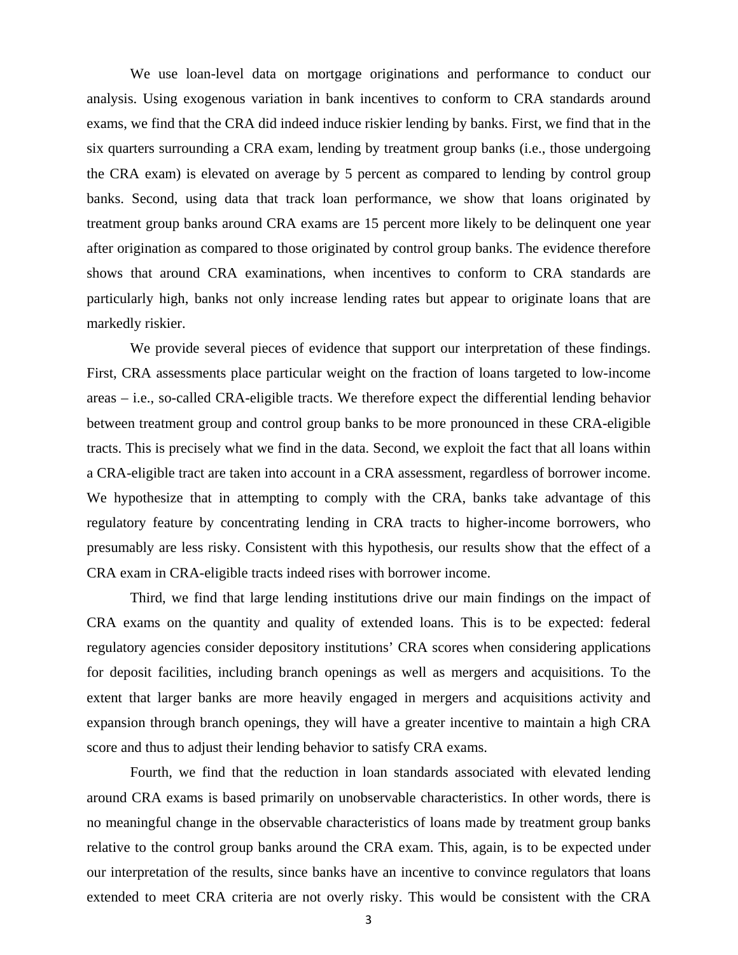We use loan-level data on mortgage originations and performance to conduct our analysis. Using exogenous variation in bank incentives to conform to CRA standards around exams, we find that the CRA did indeed induce riskier lending by banks. First, we find that in the six quarters surrounding a CRA exam, lending by treatment group banks (i.e., those undergoing the CRA exam) is elevated on average by 5 percent as compared to lending by control group banks. Second, using data that track loan performance, we show that loans originated by treatment group banks around CRA exams are 15 percent more likely to be delinquent one year after origination as compared to those originated by control group banks. The evidence therefore shows that around CRA examinations, when incentives to conform to CRA standards are particularly high, banks not only increase lending rates but appear to originate loans that are markedly riskier.

We provide several pieces of evidence that support our interpretation of these findings. First, CRA assessments place particular weight on the fraction of loans targeted to low-income areas – i.e., so-called CRA-eligible tracts. We therefore expect the differential lending behavior between treatment group and control group banks to be more pronounced in these CRA-eligible tracts. This is precisely what we find in the data. Second, we exploit the fact that all loans within a CRA-eligible tract are taken into account in a CRA assessment, regardless of borrower income. We hypothesize that in attempting to comply with the CRA, banks take advantage of this regulatory feature by concentrating lending in CRA tracts to higher-income borrowers, who presumably are less risky. Consistent with this hypothesis, our results show that the effect of a CRA exam in CRA-eligible tracts indeed rises with borrower income.

Third, we find that large lending institutions drive our main findings on the impact of CRA exams on the quantity and quality of extended loans. This is to be expected: federal regulatory agencies consider depository institutions' CRA scores when considering applications for deposit facilities, including branch openings as well as mergers and acquisitions. To the extent that larger banks are more heavily engaged in mergers and acquisitions activity and expansion through branch openings, they will have a greater incentive to maintain a high CRA score and thus to adjust their lending behavior to satisfy CRA exams.

Fourth, we find that the reduction in loan standards associated with elevated lending around CRA exams is based primarily on unobservable characteristics. In other words, there is no meaningful change in the observable characteristics of loans made by treatment group banks relative to the control group banks around the CRA exam. This, again, is to be expected under our interpretation of the results, since banks have an incentive to convince regulators that loans extended to meet CRA criteria are not overly risky. This would be consistent with the CRA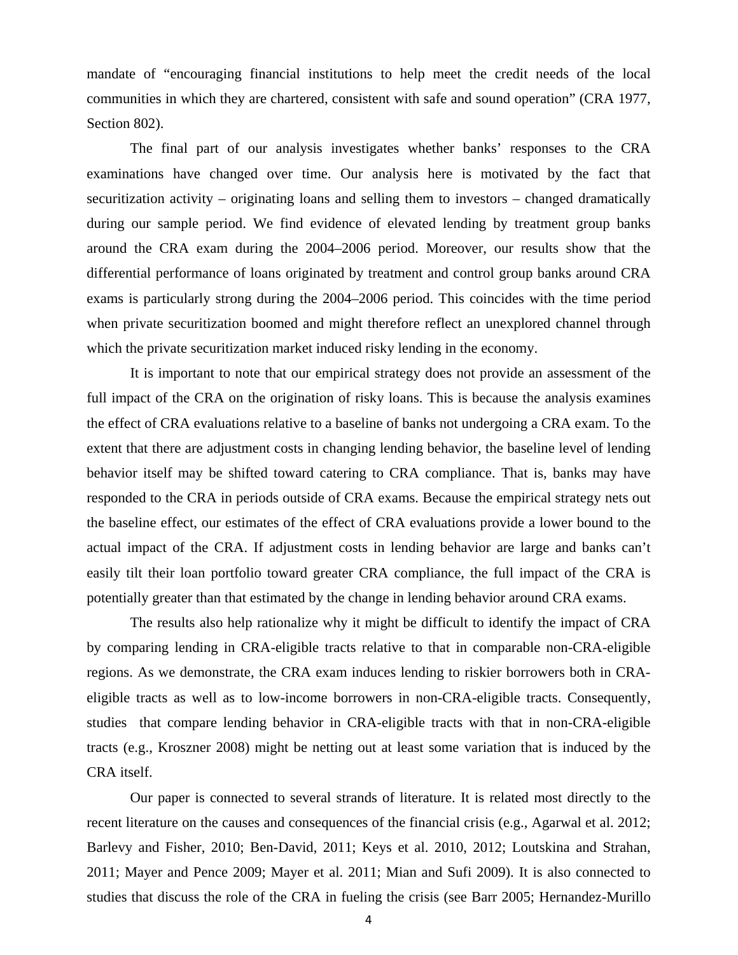mandate of "encouraging financial institutions to help meet the credit needs of the local communities in which they are chartered, consistent with safe and sound operation" (CRA 1977, Section 802).

The final part of our analysis investigates whether banks' responses to the CRA examinations have changed over time. Our analysis here is motivated by the fact that securitization activity – originating loans and selling them to investors – changed dramatically during our sample period. We find evidence of elevated lending by treatment group banks around the CRA exam during the 2004–2006 period. Moreover, our results show that the differential performance of loans originated by treatment and control group banks around CRA exams is particularly strong during the 2004–2006 period. This coincides with the time period when private securitization boomed and might therefore reflect an unexplored channel through which the private securitization market induced risky lending in the economy.

It is important to note that our empirical strategy does not provide an assessment of the full impact of the CRA on the origination of risky loans. This is because the analysis examines the effect of CRA evaluations relative to a baseline of banks not undergoing a CRA exam. To the extent that there are adjustment costs in changing lending behavior, the baseline level of lending behavior itself may be shifted toward catering to CRA compliance. That is, banks may have responded to the CRA in periods outside of CRA exams. Because the empirical strategy nets out the baseline effect, our estimates of the effect of CRA evaluations provide a lower bound to the actual impact of the CRA. If adjustment costs in lending behavior are large and banks can't easily tilt their loan portfolio toward greater CRA compliance, the full impact of the CRA is potentially greater than that estimated by the change in lending behavior around CRA exams.

The results also help rationalize why it might be difficult to identify the impact of CRA by comparing lending in CRA-eligible tracts relative to that in comparable non-CRA-eligible regions. As we demonstrate, the CRA exam induces lending to riskier borrowers both in CRAeligible tracts as well as to low-income borrowers in non-CRA-eligible tracts. Consequently, studies that compare lending behavior in CRA-eligible tracts with that in non-CRA-eligible tracts (e.g., Kroszner 2008) might be netting out at least some variation that is induced by the CRA itself.

Our paper is connected to several strands of literature. It is related most directly to the recent literature on the causes and consequences of the financial crisis (e.g., Agarwal et al. 2012; Barlevy and Fisher, 2010; Ben-David, 2011; Keys et al. 2010, 2012; Loutskina and Strahan, 2011; Mayer and Pence 2009; Mayer et al. 2011; Mian and Sufi 2009). It is also connected to studies that discuss the role of the CRA in fueling the crisis (see Barr 2005; Hernandez-Murillo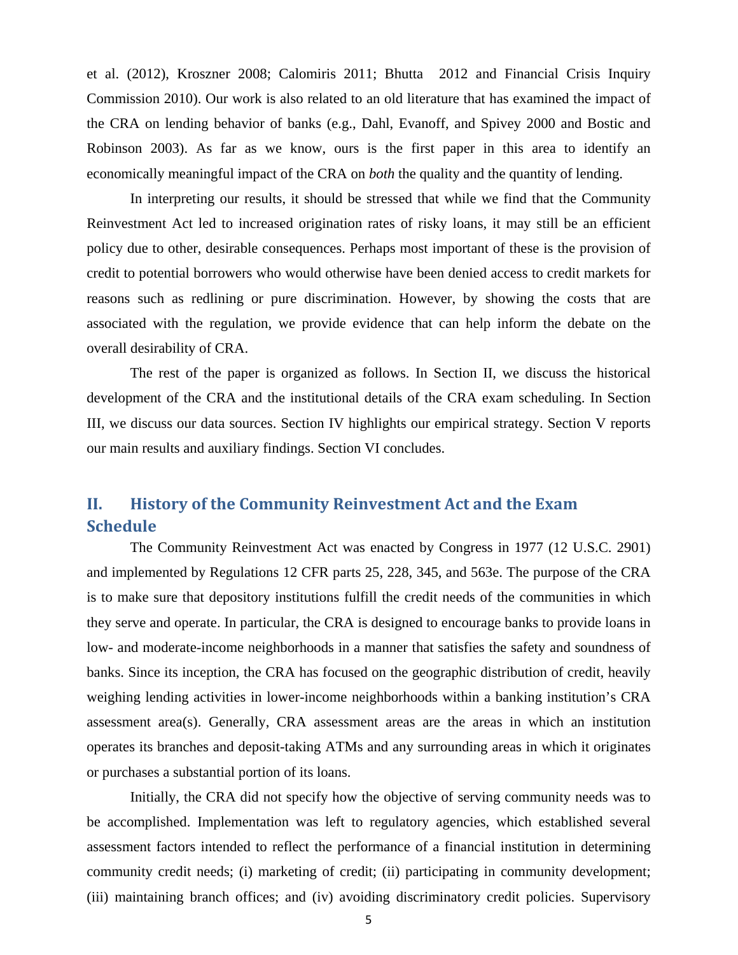et al. (2012), Kroszner 2008; Calomiris 2011; Bhutta 2012 and Financial Crisis Inquiry Commission 2010). Our work is also related to an old literature that has examined the impact of the CRA on lending behavior of banks (e.g., Dahl, Evanoff, and Spivey 2000 and Bostic and Robinson 2003). As far as we know, ours is the first paper in this area to identify an economically meaningful impact of the CRA on *both* the quality and the quantity of lending.

In interpreting our results, it should be stressed that while we find that the Community Reinvestment Act led to increased origination rates of risky loans, it may still be an efficient policy due to other, desirable consequences. Perhaps most important of these is the provision of credit to potential borrowers who would otherwise have been denied access to credit markets for reasons such as redlining or pure discrimination. However, by showing the costs that are associated with the regulation, we provide evidence that can help inform the debate on the overall desirability of CRA.

The rest of the paper is organized as follows. In Section II, we discuss the historical development of the CRA and the institutional details of the CRA exam scheduling. In Section III, we discuss our data sources. Section IV highlights our empirical strategy. Section V reports our main results and auxiliary findings. Section VI concludes.

# **II. History of the Community Reinvestment Act and the Exam Schedule**

The Community Reinvestment Act was enacted by Congress in 1977 (12 U.S.C. 2901) and implemented by Regulations 12 CFR parts 25, 228, 345, and 563e. The purpose of the CRA is to make sure that depository institutions fulfill the credit needs of the communities in which they serve and operate. In particular, the CRA is designed to encourage banks to provide loans in low- and moderate-income neighborhoods in a manner that satisfies the safety and soundness of banks. Since its inception, the CRA has focused on the geographic distribution of credit, heavily weighing lending activities in lower-income neighborhoods within a banking institution's CRA assessment area(s). Generally, CRA assessment areas are the areas in which an institution operates its branches and deposit-taking ATMs and any surrounding areas in which it originates or purchases a substantial portion of its loans.

Initially, the CRA did not specify how the objective of serving community needs was to be accomplished. Implementation was left to regulatory agencies, which established several assessment factors intended to reflect the performance of a financial institution in determining community credit needs; (i) marketing of credit; (ii) participating in community development; (iii) maintaining branch offices; and (iv) avoiding discriminatory credit policies. Supervisory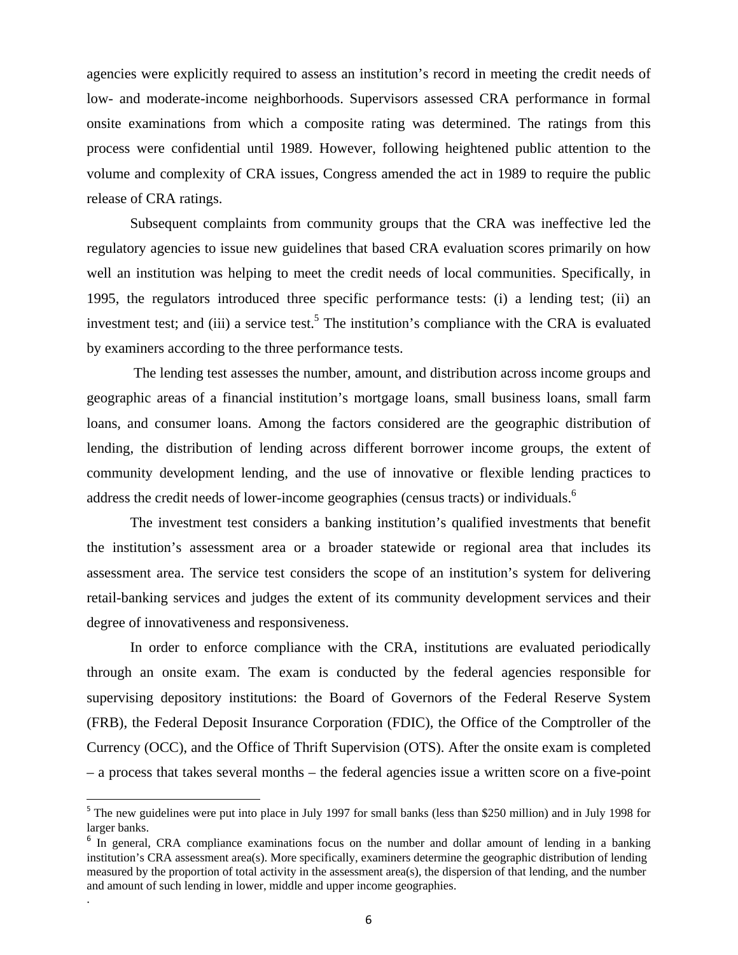agencies were explicitly required to assess an institution's record in meeting the credit needs of low- and moderate-income neighborhoods. Supervisors assessed CRA performance in formal onsite examinations from which a composite rating was determined. The ratings from this process were confidential until 1989. However, following heightened public attention to the volume and complexity of CRA issues, Congress amended the act in 1989 to require the public release of CRA ratings.

Subsequent complaints from community groups that the CRA was ineffective led the regulatory agencies to issue new guidelines that based CRA evaluation scores primarily on how well an institution was helping to meet the credit needs of local communities. Specifically, in 1995, the regulators introduced three specific performance tests: (i) a lending test; (ii) an investment test; and (iii) a service test.<sup>5</sup> The institution's compliance with the CRA is evaluated by examiners according to the three performance tests.

 The lending test assesses the number, amount, and distribution across income groups and geographic areas of a financial institution's mortgage loans, small business loans, small farm loans, and consumer loans. Among the factors considered are the geographic distribution of lending, the distribution of lending across different borrower income groups, the extent of community development lending, and the use of innovative or flexible lending practices to address the credit needs of lower-income geographies (census tracts) or individuals.<sup>6</sup>

The investment test considers a banking institution's qualified investments that benefit the institution's assessment area or a broader statewide or regional area that includes its assessment area. The service test considers the scope of an institution's system for delivering retail-banking services and judges the extent of its community development services and their degree of innovativeness and responsiveness.

In order to enforce compliance with the CRA, institutions are evaluated periodically through an onsite exam. The exam is conducted by the federal agencies responsible for supervising depository institutions: the Board of Governors of the Federal Reserve System (FRB), the Federal Deposit Insurance Corporation (FDIC), the Office of the Comptroller of the Currency (OCC), and the Office of Thrift Supervision (OTS). After the onsite exam is completed – a process that takes several months – the federal agencies issue a written score on a five-point

.

<sup>&</sup>lt;sup>5</sup> The new guidelines were put into place in July 1997 for small banks (less than \$250 million) and in July 1998 for larger banks.

<sup>&</sup>lt;sup>6</sup> In general, CRA compliance examinations focus on the number and dollar amount of lending in a banking institution's CRA assessment area(s). More specifically, examiners determine the geographic distribution of lending measured by the proportion of total activity in the assessment area(s), the dispersion of that lending, and the number and amount of such lending in lower, middle and upper income geographies.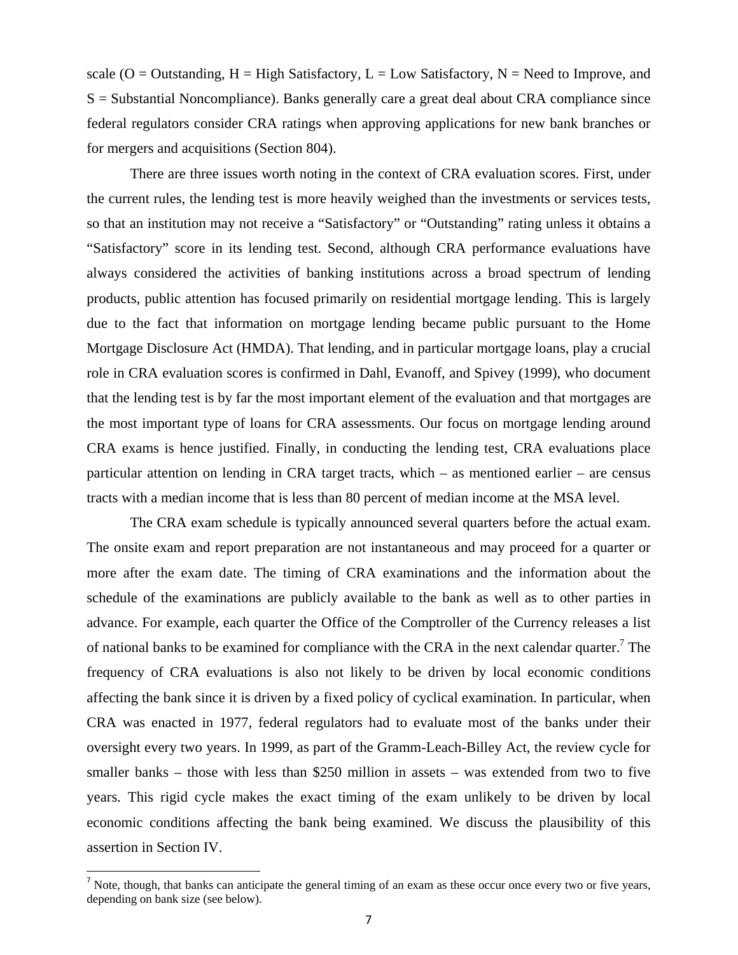scale ( $O =$  Outstanding,  $H =$  High Satisfactory,  $L =$  Low Satisfactory,  $N =$  Need to Improve, and  $S =$  Substantial Noncompliance). Banks generally care a great deal about CRA compliance since federal regulators consider CRA ratings when approving applications for new bank branches or for mergers and acquisitions (Section 804).

There are three issues worth noting in the context of CRA evaluation scores. First, under the current rules, the lending test is more heavily weighed than the investments or services tests, so that an institution may not receive a "Satisfactory" or "Outstanding" rating unless it obtains a "Satisfactory" score in its lending test. Second, although CRA performance evaluations have always considered the activities of banking institutions across a broad spectrum of lending products, public attention has focused primarily on residential mortgage lending. This is largely due to the fact that information on mortgage lending became public pursuant to the Home Mortgage Disclosure Act (HMDA). That lending, and in particular mortgage loans, play a crucial role in CRA evaluation scores is confirmed in Dahl, Evanoff, and Spivey (1999), who document that the lending test is by far the most important element of the evaluation and that mortgages are the most important type of loans for CRA assessments. Our focus on mortgage lending around CRA exams is hence justified. Finally, in conducting the lending test, CRA evaluations place particular attention on lending in CRA target tracts, which – as mentioned earlier – are census tracts with a median income that is less than 80 percent of median income at the MSA level.

The CRA exam schedule is typically announced several quarters before the actual exam. The onsite exam and report preparation are not instantaneous and may proceed for a quarter or more after the exam date. The timing of CRA examinations and the information about the schedule of the examinations are publicly available to the bank as well as to other parties in advance. For example, each quarter the Office of the Comptroller of the Currency releases a list of national banks to be examined for compliance with the CRA in the next calendar quarter.<sup>7</sup> The frequency of CRA evaluations is also not likely to be driven by local economic conditions affecting the bank since it is driven by a fixed policy of cyclical examination. In particular, when CRA was enacted in 1977, federal regulators had to evaluate most of the banks under their oversight every two years. In 1999, as part of the Gramm-Leach-Billey Act, the review cycle for smaller banks – those with less than \$250 million in assets – was extended from two to five years. This rigid cycle makes the exact timing of the exam unlikely to be driven by local economic conditions affecting the bank being examined. We discuss the plausibility of this assertion in Section IV.

 $<sup>7</sup>$  Note, though, that banks can anticipate the general timing of an exam as these occur once every two or five years,</sup> depending on bank size (see below).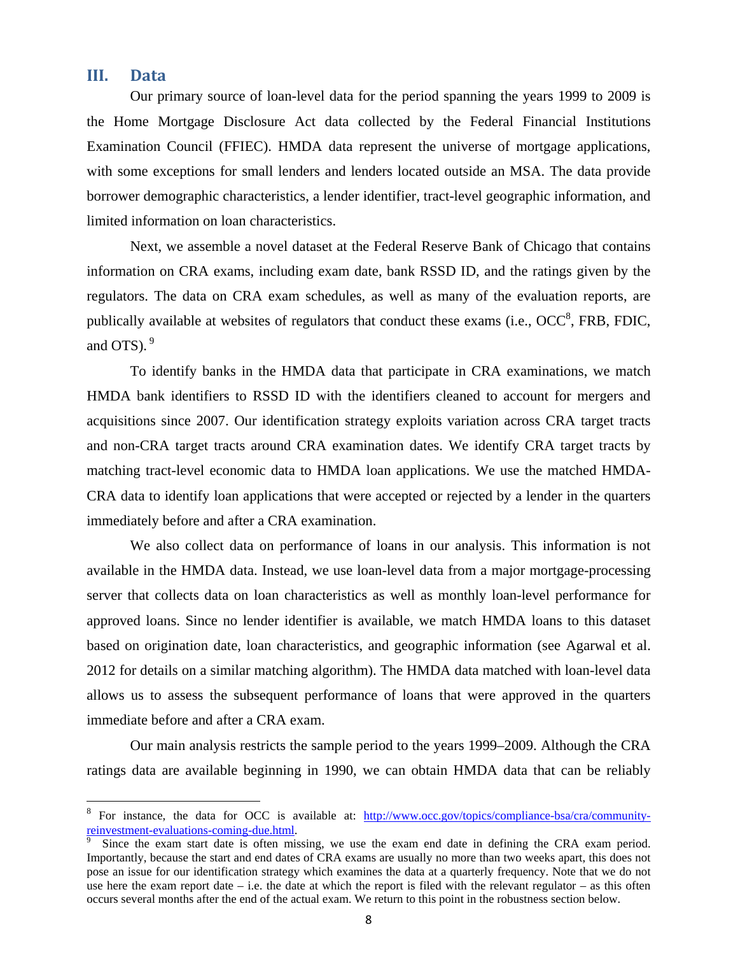# **III. Data**

Our primary source of loan-level data for the period spanning the years 1999 to 2009 is the Home Mortgage Disclosure Act data collected by the Federal Financial Institutions Examination Council (FFIEC). HMDA data represent the universe of mortgage applications, with some exceptions for small lenders and lenders located outside an MSA. The data provide borrower demographic characteristics, a lender identifier, tract-level geographic information, and limited information on loan characteristics.

Next, we assemble a novel dataset at the Federal Reserve Bank of Chicago that contains information on CRA exams, including exam date, bank RSSD ID, and the ratings given by the regulators. The data on CRA exam schedules, as well as many of the evaluation reports, are publically available at websites of regulators that conduct these exams (i.e.,  $OCC^8$ , FRB, FDIC, and OTS).  $9^{\circ}$ 

To identify banks in the HMDA data that participate in CRA examinations, we match HMDA bank identifiers to RSSD ID with the identifiers cleaned to account for mergers and acquisitions since 2007. Our identification strategy exploits variation across CRA target tracts and non-CRA target tracts around CRA examination dates. We identify CRA target tracts by matching tract-level economic data to HMDA loan applications. We use the matched HMDA-CRA data to identify loan applications that were accepted or rejected by a lender in the quarters immediately before and after a CRA examination.

We also collect data on performance of loans in our analysis. This information is not available in the HMDA data. Instead, we use loan-level data from a major mortgage-processing server that collects data on loan characteristics as well as monthly loan-level performance for approved loans. Since no lender identifier is available, we match HMDA loans to this dataset based on origination date, loan characteristics, and geographic information (see Agarwal et al. 2012 for details on a similar matching algorithm). The HMDA data matched with loan-level data allows us to assess the subsequent performance of loans that were approved in the quarters immediate before and after a CRA exam.

Our main analysis restricts the sample period to the years 1999–2009. Although the CRA ratings data are available beginning in 1990, we can obtain HMDA data that can be reliably

<sup>8</sup> For instance, the data for OCC is available at: http://www.occ.gov/topics/compliance-bsa/cra/communityreinvestment-evaluations-coming-due.html. 9

Since the exam start date is often missing, we use the exam end date in defining the CRA exam period. Importantly, because the start and end dates of CRA exams are usually no more than two weeks apart, this does not pose an issue for our identification strategy which examines the data at a quarterly frequency. Note that we do not use here the exam report date – i.e. the date at which the report is filed with the relevant regulator – as this often occurs several months after the end of the actual exam. We return to this point in the robustness section below.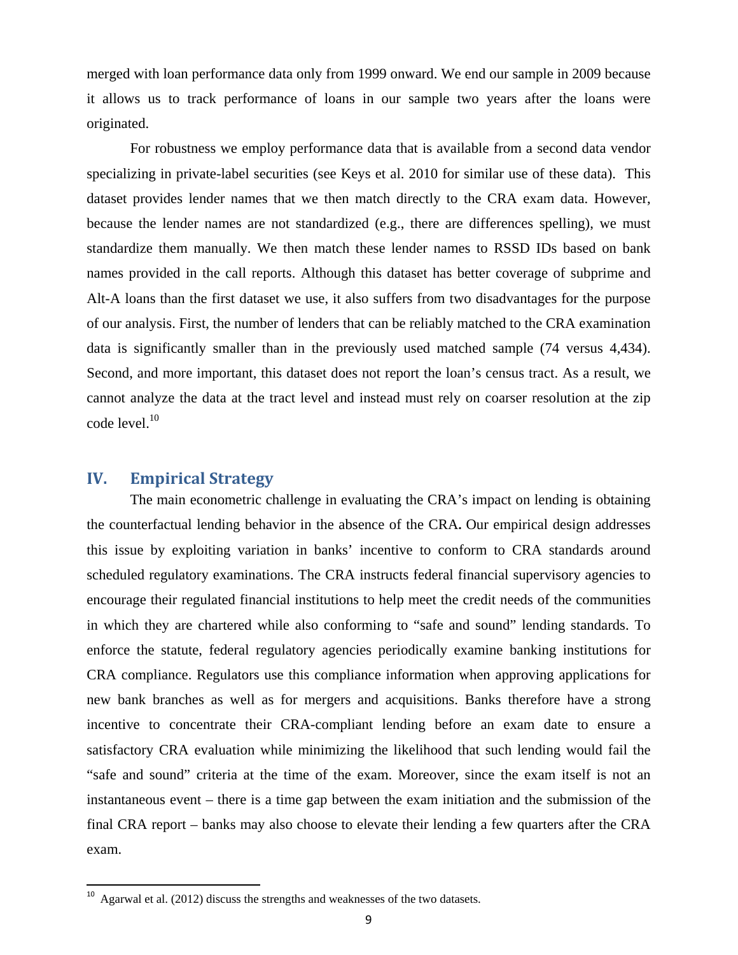merged with loan performance data only from 1999 onward. We end our sample in 2009 because it allows us to track performance of loans in our sample two years after the loans were originated.

For robustness we employ performance data that is available from a second data vendor specializing in private-label securities (see Keys et al. 2010 for similar use of these data). This dataset provides lender names that we then match directly to the CRA exam data. However, because the lender names are not standardized (e.g., there are differences spelling), we must standardize them manually. We then match these lender names to RSSD IDs based on bank names provided in the call reports. Although this dataset has better coverage of subprime and Alt-A loans than the first dataset we use, it also suffers from two disadvantages for the purpose of our analysis. First, the number of lenders that can be reliably matched to the CRA examination data is significantly smaller than in the previously used matched sample (74 versus 4,434). Second, and more important, this dataset does not report the loan's census tract. As a result, we cannot analyze the data at the tract level and instead must rely on coarser resolution at the zip code level.<sup>10</sup>

# **IV. Empirical Strategy**

The main econometric challenge in evaluating the CRA's impact on lending is obtaining the counterfactual lending behavior in the absence of the CRA**.** Our empirical design addresses this issue by exploiting variation in banks' incentive to conform to CRA standards around scheduled regulatory examinations. The CRA instructs federal financial supervisory agencies to encourage their regulated financial institutions to help meet the credit needs of the communities in which they are chartered while also conforming to "safe and sound" lending standards. To enforce the statute, federal regulatory agencies periodically examine banking institutions for CRA compliance. Regulators use this compliance information when approving applications for new bank branches as well as for mergers and acquisitions. Banks therefore have a strong incentive to concentrate their CRA-compliant lending before an exam date to ensure a satisfactory CRA evaluation while minimizing the likelihood that such lending would fail the "safe and sound" criteria at the time of the exam. Moreover, since the exam itself is not an instantaneous event – there is a time gap between the exam initiation and the submission of the final CRA report – banks may also choose to elevate their lending a few quarters after the CRA exam.

 $10$  Agarwal et al. (2012) discuss the strengths and weaknesses of the two datasets.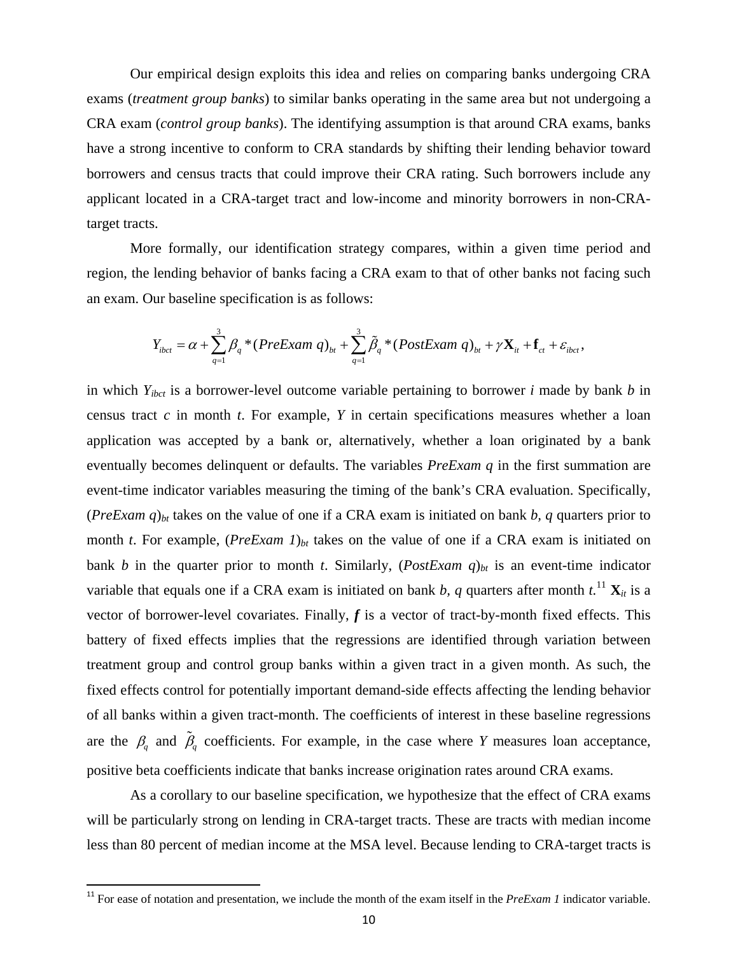Our empirical design exploits this idea and relies on comparing banks undergoing CRA exams (*treatment group banks*) to similar banks operating in the same area but not undergoing a CRA exam (*control group banks*). The identifying assumption is that around CRA exams, banks have a strong incentive to conform to CRA standards by shifting their lending behavior toward borrowers and census tracts that could improve their CRA rating. Such borrowers include any applicant located in a CRA-target tract and low-income and minority borrowers in non-CRAtarget tracts.

More formally, our identification strategy compares, within a given time period and region, the lending behavior of banks facing a CRA exam to that of other banks not facing such an exam. Our baseline specification is as follows:

$$
Y_{i\text{bot}} = \alpha + \sum_{q=1}^{3} \beta_q * (PreExam \ q)_{\text{bt}} + \sum_{q=1}^{3} \tilde{\beta}_q * (PostExam \ q)_{\text{bt}} + \gamma \mathbf{X}_{it} + \mathbf{f}_{ct} + \varepsilon_{i\text{bot}},
$$

in which *Yibct* is a borrower-level outcome variable pertaining to borrower *i* made by bank *b* in census tract *c* in month *t*. For example, *Y* in certain specifications measures whether a loan application was accepted by a bank or, alternatively, whether a loan originated by a bank eventually becomes delinquent or defaults. The variables *PreExam q* in the first summation are event-time indicator variables measuring the timing of the bank's CRA evaluation. Specifically,  $(PreExam q)_{bt}$  takes on the value of one if a CRA exam is initiated on bank *b*, *q* quarters prior to month *t*. For example, (*PreExam 1*)<sub>*bt*</sub> takes on the value of one if a CRA exam is initiated on bank *b* in the quarter prior to month *t*. Similarly,  $(PostExam q)_{bt}$  is an event-time indicator variable that equals one if a CRA exam is initiated on bank *b*, *q* quarters after month  $t^{11}$ ,  $\mathbf{X}_{it}$  is a vector of borrower-level covariates. Finally, *f* is a vector of tract-by-month fixed effects. This battery of fixed effects implies that the regressions are identified through variation between treatment group and control group banks within a given tract in a given month. As such, the fixed effects control for potentially important demand-side effects affecting the lending behavior of all banks within a given tract-month. The coefficients of interest in these baseline regressions are the  $\beta$  and  $\tilde{\beta}$  coefficients. For example, in the case where *Y* measures loan acceptance, positive beta coefficients indicate that banks increase origination rates around CRA exams.

As a corollary to our baseline specification, we hypothesize that the effect of CRA exams will be particularly strong on lending in CRA-target tracts. These are tracts with median income less than 80 percent of median income at the MSA level. Because lending to CRA-target tracts is

<sup>&</sup>lt;sup>11</sup> For ease of notation and presentation, we include the month of the exam itself in the *PreExam 1* indicator variable.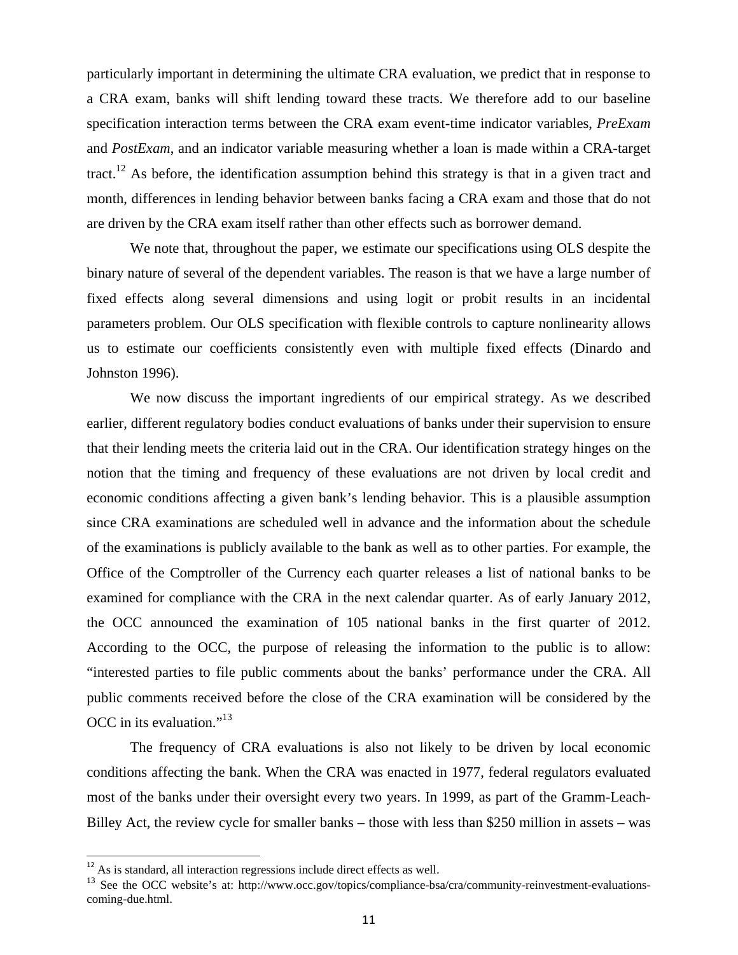particularly important in determining the ultimate CRA evaluation, we predict that in response to a CRA exam, banks will shift lending toward these tracts. We therefore add to our baseline specification interaction terms between the CRA exam event-time indicator variables, *PreExam*  and *PostExam*, and an indicator variable measuring whether a loan is made within a CRA-target tract.<sup>12</sup> As before, the identification assumption behind this strategy is that in a given tract and month, differences in lending behavior between banks facing a CRA exam and those that do not are driven by the CRA exam itself rather than other effects such as borrower demand.

We note that, throughout the paper, we estimate our specifications using OLS despite the binary nature of several of the dependent variables. The reason is that we have a large number of fixed effects along several dimensions and using logit or probit results in an incidental parameters problem. Our OLS specification with flexible controls to capture nonlinearity allows us to estimate our coefficients consistently even with multiple fixed effects (Dinardo and Johnston 1996).

 We now discuss the important ingredients of our empirical strategy. As we described earlier, different regulatory bodies conduct evaluations of banks under their supervision to ensure that their lending meets the criteria laid out in the CRA. Our identification strategy hinges on the notion that the timing and frequency of these evaluations are not driven by local credit and economic conditions affecting a given bank's lending behavior. This is a plausible assumption since CRA examinations are scheduled well in advance and the information about the schedule of the examinations is publicly available to the bank as well as to other parties. For example, the Office of the Comptroller of the Currency each quarter releases a list of national banks to be examined for compliance with the CRA in the next calendar quarter. As of early January 2012, the OCC announced the examination of 105 national banks in the first quarter of 2012. According to the OCC, the purpose of releasing the information to the public is to allow: "interested parties to file public comments about the banks' performance under the CRA. All public comments received before the close of the CRA examination will be considered by the OCC in its evaluation."13

The frequency of CRA evaluations is also not likely to be driven by local economic conditions affecting the bank. When the CRA was enacted in 1977, federal regulators evaluated most of the banks under their oversight every two years. In 1999, as part of the Gramm-Leach-Billey Act, the review cycle for smaller banks – those with less than \$250 million in assets – was

<sup>&</sup>lt;sup>12</sup> As is standard, all interaction regressions include direct effects as well.

<sup>&</sup>lt;sup>13</sup> See the OCC website's at: http://www.occ.gov/topics/compliance-bsa/cra/community-reinvestment-evaluationscoming-due.html.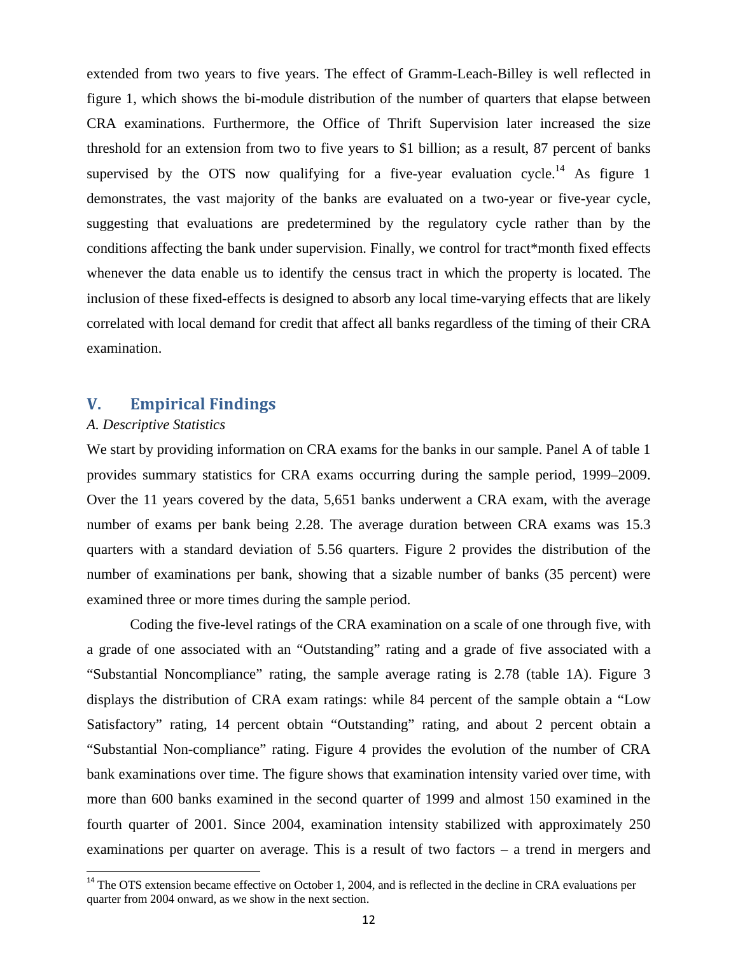extended from two years to five years. The effect of Gramm-Leach-Billey is well reflected in figure 1, which shows the bi-module distribution of the number of quarters that elapse between CRA examinations. Furthermore, the Office of Thrift Supervision later increased the size threshold for an extension from two to five years to \$1 billion; as a result, 87 percent of banks supervised by the OTS now qualifying for a five-year evaluation cycle.<sup>14</sup> As figure 1 demonstrates, the vast majority of the banks are evaluated on a two-year or five-year cycle, suggesting that evaluations are predetermined by the regulatory cycle rather than by the conditions affecting the bank under supervision. Finally, we control for tract\*month fixed effects whenever the data enable us to identify the census tract in which the property is located. The inclusion of these fixed-effects is designed to absorb any local time-varying effects that are likely correlated with local demand for credit that affect all banks regardless of the timing of their CRA examination.

# **V. Empirical Findings**

### *A. Descriptive Statistics*

We start by providing information on CRA exams for the banks in our sample. Panel A of table 1 provides summary statistics for CRA exams occurring during the sample period, 1999–2009. Over the 11 years covered by the data, 5,651 banks underwent a CRA exam, with the average number of exams per bank being 2.28. The average duration between CRA exams was 15.3 quarters with a standard deviation of 5.56 quarters. Figure 2 provides the distribution of the number of examinations per bank, showing that a sizable number of banks (35 percent) were examined three or more times during the sample period.

Coding the five-level ratings of the CRA examination on a scale of one through five, with a grade of one associated with an "Outstanding" rating and a grade of five associated with a "Substantial Noncompliance" rating, the sample average rating is 2.78 (table 1A). Figure 3 displays the distribution of CRA exam ratings: while 84 percent of the sample obtain a "Low Satisfactory" rating, 14 percent obtain "Outstanding" rating, and about 2 percent obtain a "Substantial Non-compliance" rating. Figure 4 provides the evolution of the number of CRA bank examinations over time. The figure shows that examination intensity varied over time, with more than 600 banks examined in the second quarter of 1999 and almost 150 examined in the fourth quarter of 2001. Since 2004, examination intensity stabilized with approximately 250 examinations per quarter on average. This is a result of two factors – a trend in mergers and

 $14$  The OTS extension became effective on October 1, 2004, and is reflected in the decline in CRA evaluations per quarter from 2004 onward, as we show in the next section.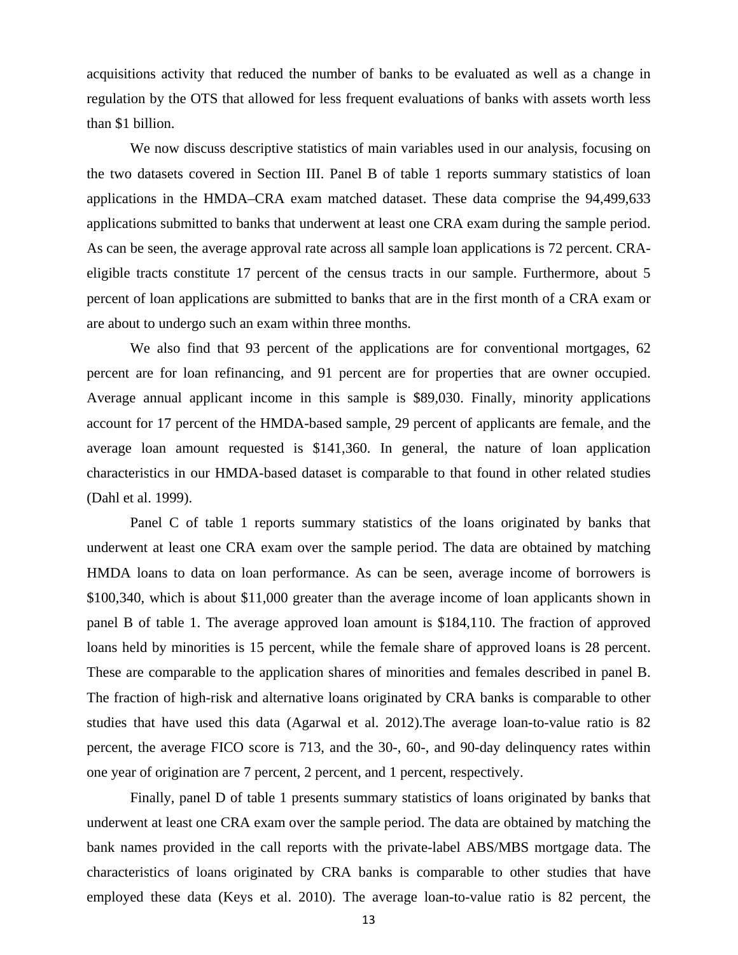acquisitions activity that reduced the number of banks to be evaluated as well as a change in regulation by the OTS that allowed for less frequent evaluations of banks with assets worth less than \$1 billion.

We now discuss descriptive statistics of main variables used in our analysis, focusing on the two datasets covered in Section III. Panel B of table 1 reports summary statistics of loan applications in the HMDA–CRA exam matched dataset. These data comprise the 94,499,633 applications submitted to banks that underwent at least one CRA exam during the sample period. As can be seen, the average approval rate across all sample loan applications is 72 percent. CRAeligible tracts constitute 17 percent of the census tracts in our sample. Furthermore, about 5 percent of loan applications are submitted to banks that are in the first month of a CRA exam or are about to undergo such an exam within three months.

We also find that 93 percent of the applications are for conventional mortgages, 62 percent are for loan refinancing, and 91 percent are for properties that are owner occupied. Average annual applicant income in this sample is \$89,030. Finally, minority applications account for 17 percent of the HMDA-based sample, 29 percent of applicants are female, and the average loan amount requested is \$141,360. In general, the nature of loan application characteristics in our HMDA-based dataset is comparable to that found in other related studies (Dahl et al. 1999).

Panel C of table 1 reports summary statistics of the loans originated by banks that underwent at least one CRA exam over the sample period. The data are obtained by matching HMDA loans to data on loan performance. As can be seen, average income of borrowers is \$100,340, which is about \$11,000 greater than the average income of loan applicants shown in panel B of table 1. The average approved loan amount is \$184,110. The fraction of approved loans held by minorities is 15 percent, while the female share of approved loans is 28 percent. These are comparable to the application shares of minorities and females described in panel B. The fraction of high-risk and alternative loans originated by CRA banks is comparable to other studies that have used this data (Agarwal et al. 2012).The average loan-to-value ratio is 82 percent, the average FICO score is 713, and the 30-, 60-, and 90-day delinquency rates within one year of origination are 7 percent, 2 percent, and 1 percent, respectively.

Finally, panel D of table 1 presents summary statistics of loans originated by banks that underwent at least one CRA exam over the sample period. The data are obtained by matching the bank names provided in the call reports with the private-label ABS/MBS mortgage data. The characteristics of loans originated by CRA banks is comparable to other studies that have employed these data (Keys et al. 2010). The average loan-to-value ratio is 82 percent, the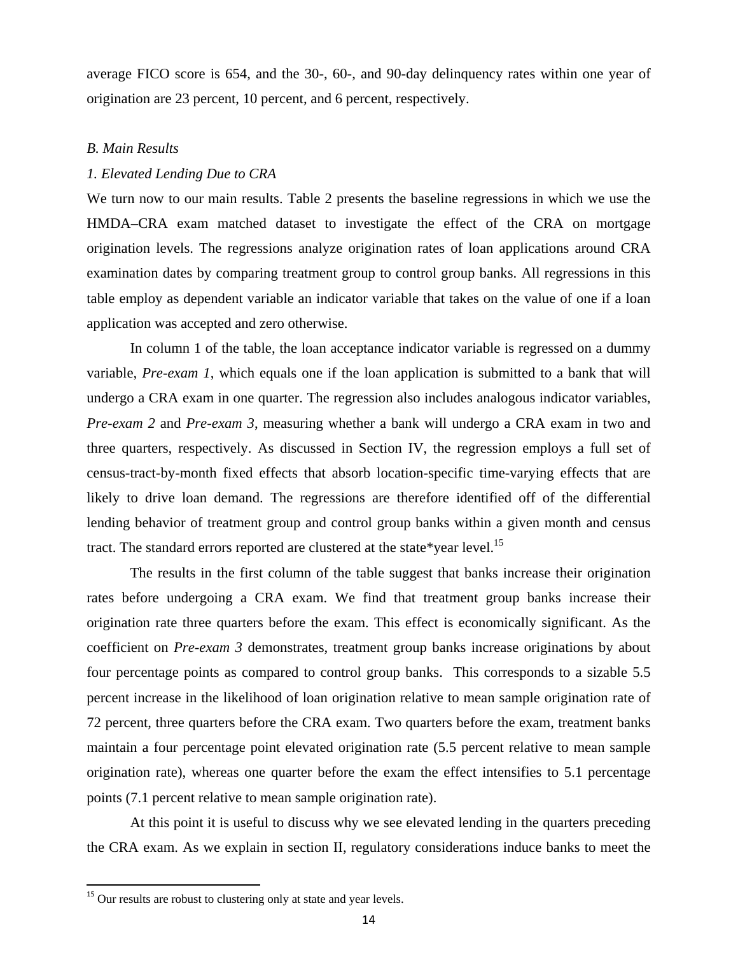average FICO score is 654, and the 30-, 60-, and 90-day delinquency rates within one year of origination are 23 percent, 10 percent, and 6 percent, respectively.

#### *B. Main Results*

#### *1. Elevated Lending Due to CRA*

We turn now to our main results. Table 2 presents the baseline regressions in which we use the HMDA–CRA exam matched dataset to investigate the effect of the CRA on mortgage origination levels. The regressions analyze origination rates of loan applications around CRA examination dates by comparing treatment group to control group banks. All regressions in this table employ as dependent variable an indicator variable that takes on the value of one if a loan application was accepted and zero otherwise.

In column 1 of the table, the loan acceptance indicator variable is regressed on a dummy variable, *Pre-exam 1*, which equals one if the loan application is submitted to a bank that will undergo a CRA exam in one quarter. The regression also includes analogous indicator variables, *Pre-exam 2* and *Pre-exam 3*, measuring whether a bank will undergo a CRA exam in two and three quarters, respectively. As discussed in Section IV, the regression employs a full set of census-tract-by-month fixed effects that absorb location-specific time-varying effects that are likely to drive loan demand. The regressions are therefore identified off of the differential lending behavior of treatment group and control group banks within a given month and census tract. The standard errors reported are clustered at the state\*year level.<sup>15</sup>

The results in the first column of the table suggest that banks increase their origination rates before undergoing a CRA exam. We find that treatment group banks increase their origination rate three quarters before the exam. This effect is economically significant. As the coefficient on *Pre-exam 3* demonstrates, treatment group banks increase originations by about four percentage points as compared to control group banks. This corresponds to a sizable 5.5 percent increase in the likelihood of loan origination relative to mean sample origination rate of 72 percent, three quarters before the CRA exam. Two quarters before the exam, treatment banks maintain a four percentage point elevated origination rate (5.5 percent relative to mean sample origination rate), whereas one quarter before the exam the effect intensifies to 5.1 percentage points (7.1 percent relative to mean sample origination rate).

At this point it is useful to discuss why we see elevated lending in the quarters preceding the CRA exam. As we explain in section II, regulatory considerations induce banks to meet the

<sup>&</sup>lt;sup>15</sup> Our results are robust to clustering only at state and year levels.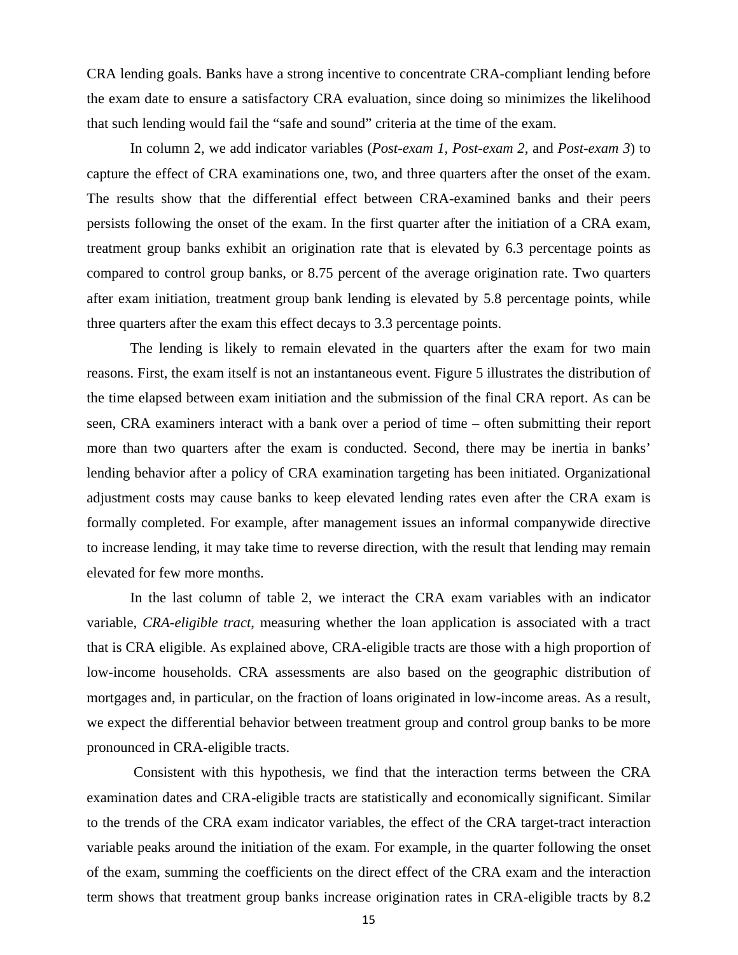CRA lending goals. Banks have a strong incentive to concentrate CRA-compliant lending before the exam date to ensure a satisfactory CRA evaluation, since doing so minimizes the likelihood that such lending would fail the "safe and sound" criteria at the time of the exam.

In column 2, we add indicator variables (*Post-exam 1, Post-exam 2,* and *Post-exam 3*) to capture the effect of CRA examinations one, two, and three quarters after the onset of the exam. The results show that the differential effect between CRA-examined banks and their peers persists following the onset of the exam. In the first quarter after the initiation of a CRA exam, treatment group banks exhibit an origination rate that is elevated by 6.3 percentage points as compared to control group banks, or 8.75 percent of the average origination rate. Two quarters after exam initiation, treatment group bank lending is elevated by 5.8 percentage points, while three quarters after the exam this effect decays to 3.3 percentage points.

The lending is likely to remain elevated in the quarters after the exam for two main reasons. First, the exam itself is not an instantaneous event. Figure 5 illustrates the distribution of the time elapsed between exam initiation and the submission of the final CRA report. As can be seen, CRA examiners interact with a bank over a period of time – often submitting their report more than two quarters after the exam is conducted. Second, there may be inertia in banks' lending behavior after a policy of CRA examination targeting has been initiated. Organizational adjustment costs may cause banks to keep elevated lending rates even after the CRA exam is formally completed. For example, after management issues an informal companywide directive to increase lending, it may take time to reverse direction, with the result that lending may remain elevated for few more months.

In the last column of table 2, we interact the CRA exam variables with an indicator variable, *CRA-eligible tract*, measuring whether the loan application is associated with a tract that is CRA eligible. As explained above, CRA-eligible tracts are those with a high proportion of low-income households. CRA assessments are also based on the geographic distribution of mortgages and, in particular, on the fraction of loans originated in low-income areas. As a result, we expect the differential behavior between treatment group and control group banks to be more pronounced in CRA-eligible tracts.

 Consistent with this hypothesis, we find that the interaction terms between the CRA examination dates and CRA-eligible tracts are statistically and economically significant. Similar to the trends of the CRA exam indicator variables, the effect of the CRA target-tract interaction variable peaks around the initiation of the exam. For example, in the quarter following the onset of the exam, summing the coefficients on the direct effect of the CRA exam and the interaction term shows that treatment group banks increase origination rates in CRA-eligible tracts by 8.2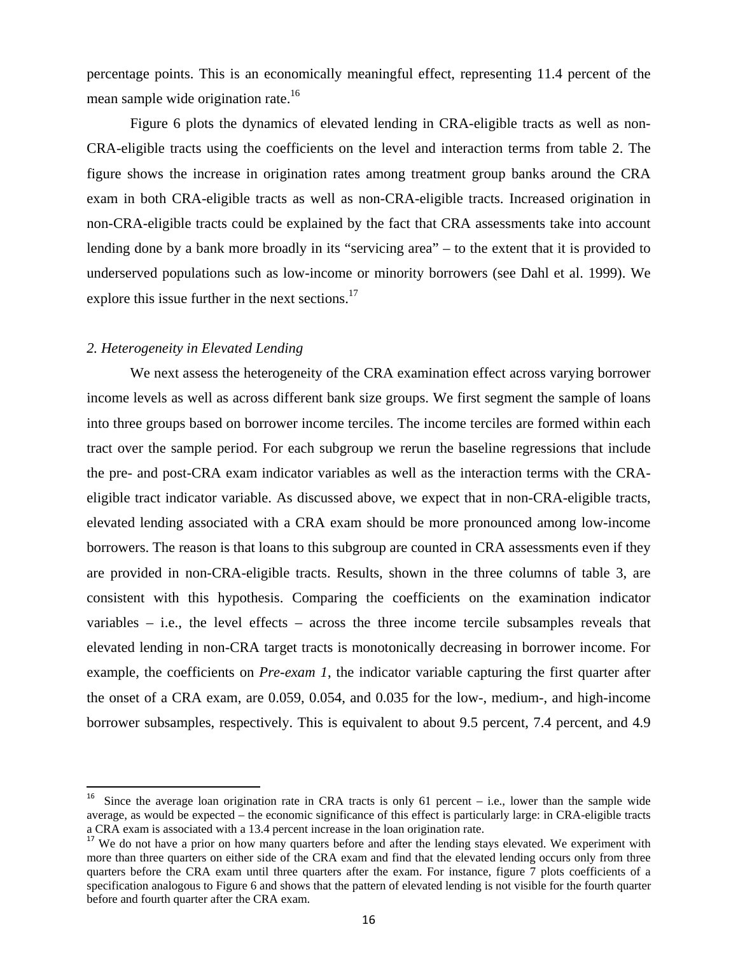percentage points. This is an economically meaningful effect, representing 11.4 percent of the mean sample wide origination rate.<sup>16</sup>

Figure 6 plots the dynamics of elevated lending in CRA-eligible tracts as well as non-CRA-eligible tracts using the coefficients on the level and interaction terms from table 2. The figure shows the increase in origination rates among treatment group banks around the CRA exam in both CRA-eligible tracts as well as non-CRA-eligible tracts. Increased origination in non-CRA-eligible tracts could be explained by the fact that CRA assessments take into account lending done by a bank more broadly in its "servicing area" – to the extent that it is provided to underserved populations such as low-income or minority borrowers (see Dahl et al. 1999). We explore this issue further in the next sections. $17$ 

#### *2. Heterogeneity in Elevated Lending*

We next assess the heterogeneity of the CRA examination effect across varying borrower income levels as well as across different bank size groups. We first segment the sample of loans into three groups based on borrower income terciles. The income terciles are formed within each tract over the sample period. For each subgroup we rerun the baseline regressions that include the pre- and post-CRA exam indicator variables as well as the interaction terms with the CRAeligible tract indicator variable. As discussed above, we expect that in non-CRA-eligible tracts, elevated lending associated with a CRA exam should be more pronounced among low-income borrowers. The reason is that loans to this subgroup are counted in CRA assessments even if they are provided in non-CRA-eligible tracts. Results, shown in the three columns of table 3, are consistent with this hypothesis. Comparing the coefficients on the examination indicator variables – i.e., the level effects – across the three income tercile subsamples reveals that elevated lending in non-CRA target tracts is monotonically decreasing in borrower income. For example, the coefficients on *Pre-exam 1*, the indicator variable capturing the first quarter after the onset of a CRA exam, are 0.059, 0.054, and 0.035 for the low-, medium-, and high-income borrower subsamples, respectively. This is equivalent to about 9.5 percent, 7.4 percent, and 4.9

Since the average loan origination rate in CRA tracts is only 61 percent  $-$  i.e., lower than the sample wide average, as would be expected – the economic significance of this effect is particularly large: in CRA-eligible tracts a CRA exam is associated with a 13.4 percent increase in the loan origination rate.

<sup>&</sup>lt;sup>17</sup> We do not have a prior on how many quarters before and after the lending stays elevated. We experiment with more than three quarters on either side of the CRA exam and find that the elevated lending occurs only from three quarters before the CRA exam until three quarters after the exam. For instance, figure 7 plots coefficients of a specification analogous to Figure 6 and shows that the pattern of elevated lending is not visible for the fourth quarter before and fourth quarter after the CRA exam.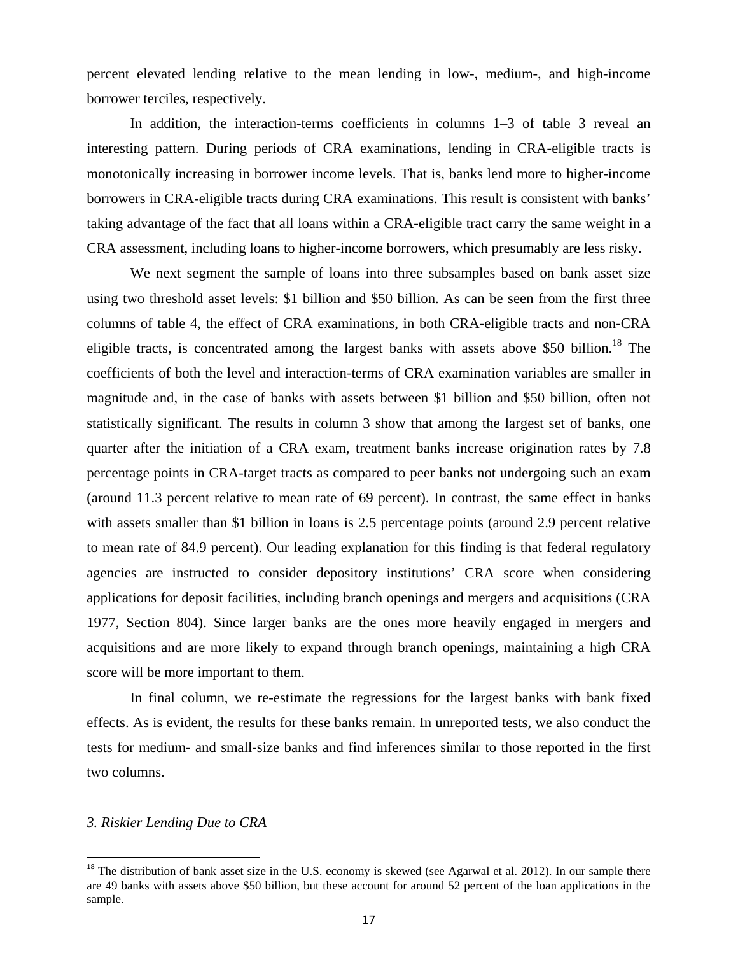percent elevated lending relative to the mean lending in low-, medium-, and high-income borrower terciles, respectively.

In addition, the interaction-terms coefficients in columns 1–3 of table 3 reveal an interesting pattern. During periods of CRA examinations, lending in CRA-eligible tracts is monotonically increasing in borrower income levels. That is, banks lend more to higher-income borrowers in CRA-eligible tracts during CRA examinations. This result is consistent with banks' taking advantage of the fact that all loans within a CRA-eligible tract carry the same weight in a CRA assessment, including loans to higher-income borrowers, which presumably are less risky.

We next segment the sample of loans into three subsamples based on bank asset size using two threshold asset levels: \$1 billion and \$50 billion. As can be seen from the first three columns of table 4, the effect of CRA examinations, in both CRA-eligible tracts and non-CRA eligible tracts, is concentrated among the largest banks with assets above \$50 billion.<sup>18</sup> The coefficients of both the level and interaction-terms of CRA examination variables are smaller in magnitude and, in the case of banks with assets between \$1 billion and \$50 billion, often not statistically significant. The results in column 3 show that among the largest set of banks, one quarter after the initiation of a CRA exam, treatment banks increase origination rates by 7.8 percentage points in CRA-target tracts as compared to peer banks not undergoing such an exam (around 11.3 percent relative to mean rate of 69 percent). In contrast, the same effect in banks with assets smaller than \$1 billion in loans is 2.5 percentage points (around 2.9 percent relative to mean rate of 84.9 percent). Our leading explanation for this finding is that federal regulatory agencies are instructed to consider depository institutions' CRA score when considering applications for deposit facilities, including branch openings and mergers and acquisitions (CRA 1977, Section 804). Since larger banks are the ones more heavily engaged in mergers and acquisitions and are more likely to expand through branch openings, maintaining a high CRA score will be more important to them.

In final column, we re-estimate the regressions for the largest banks with bank fixed effects. As is evident, the results for these banks remain. In unreported tests, we also conduct the tests for medium- and small-size banks and find inferences similar to those reported in the first two columns.

#### *3. Riskier Lending Due to CRA*

 $18$  The distribution of bank asset size in the U.S. economy is skewed (see Agarwal et al. 2012). In our sample there are 49 banks with assets above \$50 billion, but these account for around 52 percent of the loan applications in the sample.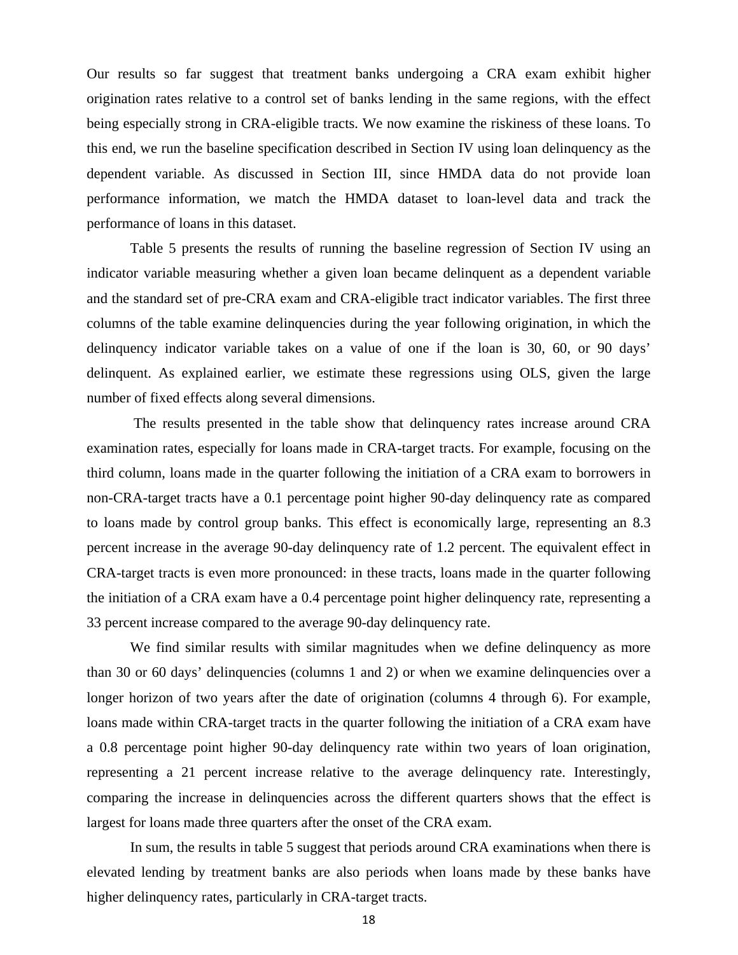Our results so far suggest that treatment banks undergoing a CRA exam exhibit higher origination rates relative to a control set of banks lending in the same regions, with the effect being especially strong in CRA-eligible tracts. We now examine the riskiness of these loans. To this end, we run the baseline specification described in Section IV using loan delinquency as the dependent variable. As discussed in Section III, since HMDA data do not provide loan performance information, we match the HMDA dataset to loan-level data and track the performance of loans in this dataset.

Table 5 presents the results of running the baseline regression of Section IV using an indicator variable measuring whether a given loan became delinquent as a dependent variable and the standard set of pre-CRA exam and CRA-eligible tract indicator variables. The first three columns of the table examine delinquencies during the year following origination, in which the delinquency indicator variable takes on a value of one if the loan is 30, 60, or 90 days' delinquent. As explained earlier, we estimate these regressions using OLS, given the large number of fixed effects along several dimensions.

 The results presented in the table show that delinquency rates increase around CRA examination rates, especially for loans made in CRA-target tracts. For example, focusing on the third column, loans made in the quarter following the initiation of a CRA exam to borrowers in non-CRA-target tracts have a 0.1 percentage point higher 90-day delinquency rate as compared to loans made by control group banks. This effect is economically large, representing an 8.3 percent increase in the average 90-day delinquency rate of 1.2 percent. The equivalent effect in CRA-target tracts is even more pronounced: in these tracts, loans made in the quarter following the initiation of a CRA exam have a 0.4 percentage point higher delinquency rate, representing a 33 percent increase compared to the average 90-day delinquency rate.

We find similar results with similar magnitudes when we define delinquency as more than 30 or 60 days' delinquencies (columns 1 and 2) or when we examine delinquencies over a longer horizon of two years after the date of origination (columns 4 through 6). For example, loans made within CRA-target tracts in the quarter following the initiation of a CRA exam have a 0.8 percentage point higher 90-day delinquency rate within two years of loan origination, representing a 21 percent increase relative to the average delinquency rate. Interestingly, comparing the increase in delinquencies across the different quarters shows that the effect is largest for loans made three quarters after the onset of the CRA exam.

In sum, the results in table 5 suggest that periods around CRA examinations when there is elevated lending by treatment banks are also periods when loans made by these banks have higher delinquency rates, particularly in CRA-target tracts.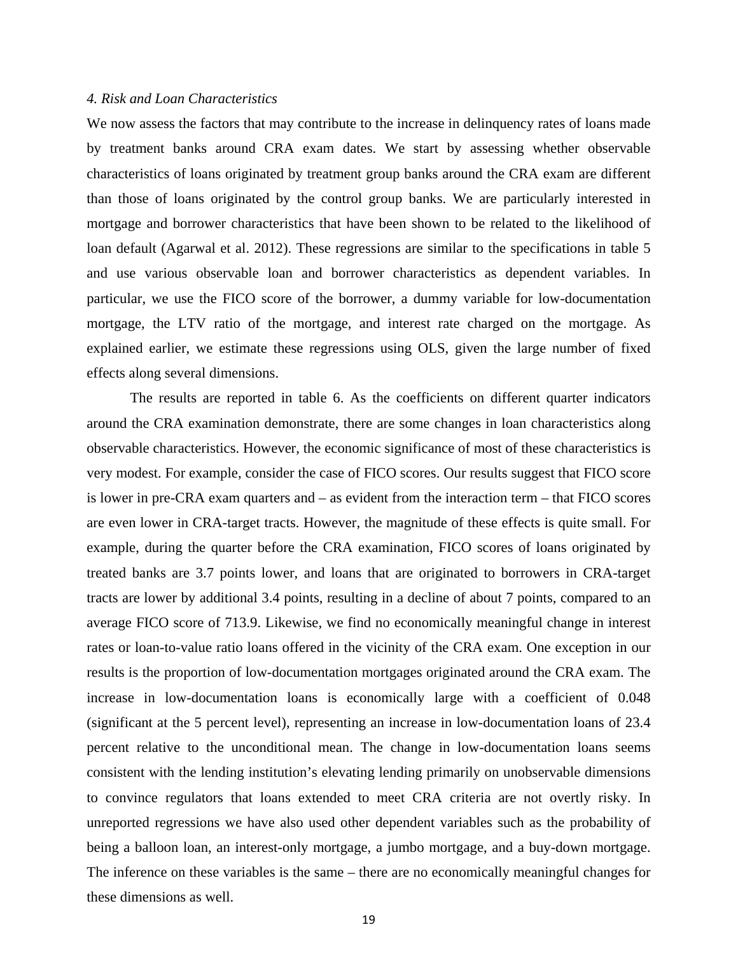#### *4. Risk and Loan Characteristics*

We now assess the factors that may contribute to the increase in delinquency rates of loans made by treatment banks around CRA exam dates. We start by assessing whether observable characteristics of loans originated by treatment group banks around the CRA exam are different than those of loans originated by the control group banks. We are particularly interested in mortgage and borrower characteristics that have been shown to be related to the likelihood of loan default (Agarwal et al. 2012). These regressions are similar to the specifications in table 5 and use various observable loan and borrower characteristics as dependent variables. In particular, we use the FICO score of the borrower, a dummy variable for low-documentation mortgage, the LTV ratio of the mortgage, and interest rate charged on the mortgage. As explained earlier, we estimate these regressions using OLS, given the large number of fixed effects along several dimensions.

The results are reported in table 6. As the coefficients on different quarter indicators around the CRA examination demonstrate, there are some changes in loan characteristics along observable characteristics. However, the economic significance of most of these characteristics is very modest. For example, consider the case of FICO scores. Our results suggest that FICO score is lower in pre-CRA exam quarters and – as evident from the interaction term – that FICO scores are even lower in CRA-target tracts. However, the magnitude of these effects is quite small. For example, during the quarter before the CRA examination, FICO scores of loans originated by treated banks are 3.7 points lower, and loans that are originated to borrowers in CRA-target tracts are lower by additional 3.4 points, resulting in a decline of about 7 points, compared to an average FICO score of 713.9. Likewise, we find no economically meaningful change in interest rates or loan-to-value ratio loans offered in the vicinity of the CRA exam. One exception in our results is the proportion of low-documentation mortgages originated around the CRA exam. The increase in low-documentation loans is economically large with a coefficient of 0.048 (significant at the 5 percent level), representing an increase in low-documentation loans of 23.4 percent relative to the unconditional mean. The change in low-documentation loans seems consistent with the lending institution's elevating lending primarily on unobservable dimensions to convince regulators that loans extended to meet CRA criteria are not overtly risky. In unreported regressions we have also used other dependent variables such as the probability of being a balloon loan, an interest-only mortgage, a jumbo mortgage, and a buy-down mortgage. The inference on these variables is the same – there are no economically meaningful changes for these dimensions as well.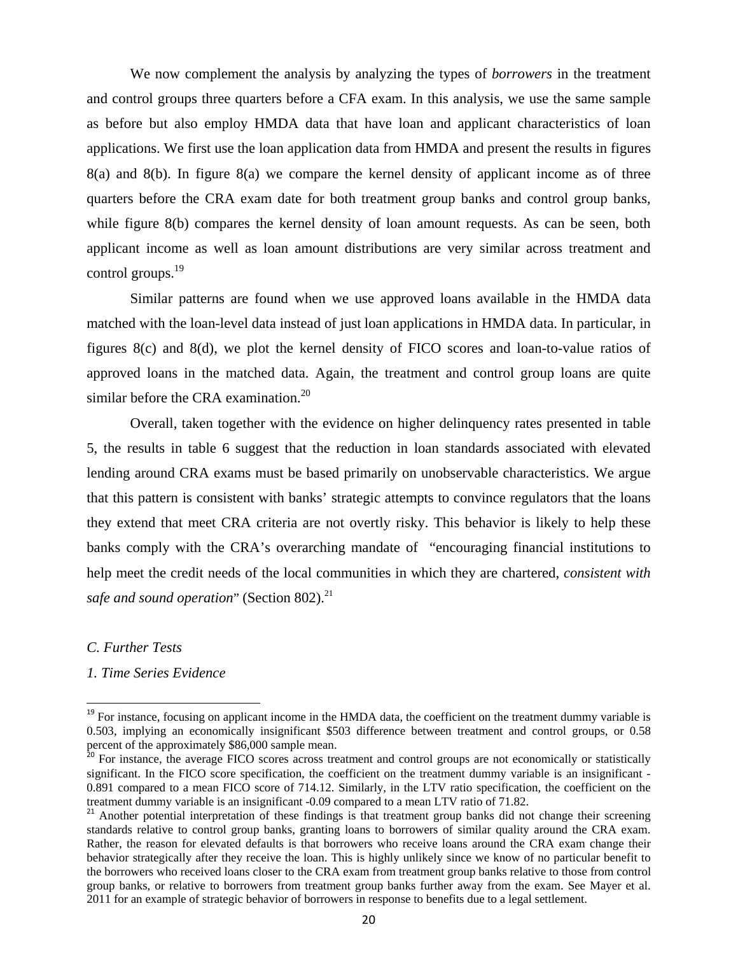We now complement the analysis by analyzing the types of *borrowers* in the treatment and control groups three quarters before a CFA exam. In this analysis, we use the same sample as before but also employ HMDA data that have loan and applicant characteristics of loan applications. We first use the loan application data from HMDA and present the results in figures 8(a) and 8(b). In figure 8(a) we compare the kernel density of applicant income as of three quarters before the CRA exam date for both treatment group banks and control group banks, while figure 8(b) compares the kernel density of loan amount requests. As can be seen, both applicant income as well as loan amount distributions are very similar across treatment and control groups.<sup>19</sup>

Similar patterns are found when we use approved loans available in the HMDA data matched with the loan-level data instead of just loan applications in HMDA data. In particular, in figures 8(c) and 8(d), we plot the kernel density of FICO scores and loan-to-value ratios of approved loans in the matched data. Again, the treatment and control group loans are quite similar before the CRA examination.<sup>20</sup>

Overall, taken together with the evidence on higher delinquency rates presented in table 5, the results in table 6 suggest that the reduction in loan standards associated with elevated lending around CRA exams must be based primarily on unobservable characteristics. We argue that this pattern is consistent with banks' strategic attempts to convince regulators that the loans they extend that meet CRA criteria are not overtly risky. This behavior is likely to help these banks comply with the CRA's overarching mandate of "encouraging financial institutions to help meet the credit needs of the local communities in which they are chartered, *consistent with*  safe and sound operation" (Section 802).<sup>21</sup>

*C. Further Tests* 

*1. Time Series Evidence* 

<sup>&</sup>lt;sup>19</sup> For instance, focusing on applicant income in the HMDA data, the coefficient on the treatment dummy variable is 0.503, implying an economically insignificant \$503 difference between treatment and control groups, or 0.58 percent of the approximately \$86,000 sample mean.

<sup>&</sup>lt;sup>20</sup> For instance, the average FICO scores across treatment and control groups are not economically or statistically significant. In the FICO score specification, the coefficient on the treatment dummy variable is an insignificant -0.891 compared to a mean FICO score of 714.12. Similarly, in the LTV ratio specification, the coefficient on the treatment dummy variable is an insignificant -0.09 compared to a mean LTV ratio of 71.82.

<sup>&</sup>lt;sup>21</sup> Another potential interpretation of these findings is that treatment group banks did not change their screening standards relative to control group banks, granting loans to borrowers of similar quality around the CRA exam. Rather, the reason for elevated defaults is that borrowers who receive loans around the CRA exam change their behavior strategically after they receive the loan. This is highly unlikely since we know of no particular benefit to the borrowers who received loans closer to the CRA exam from treatment group banks relative to those from control group banks, or relative to borrowers from treatment group banks further away from the exam. See Mayer et al. 2011 for an example of strategic behavior of borrowers in response to benefits due to a legal settlement.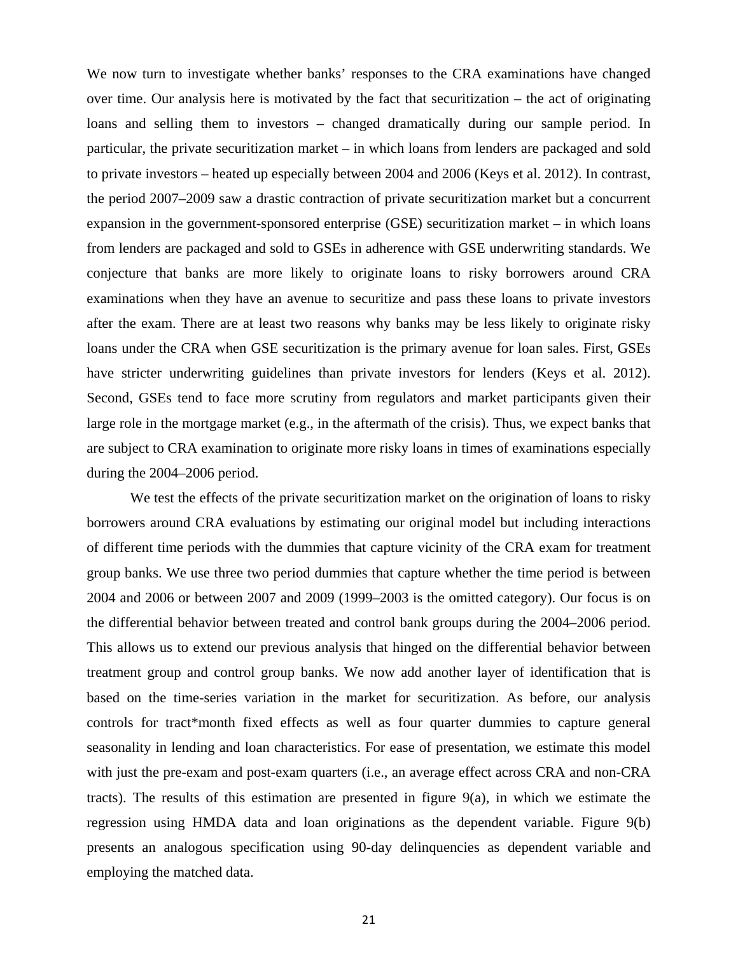We now turn to investigate whether banks' responses to the CRA examinations have changed over time. Our analysis here is motivated by the fact that securitization – the act of originating loans and selling them to investors – changed dramatically during our sample period. In particular, the private securitization market – in which loans from lenders are packaged and sold to private investors – heated up especially between 2004 and 2006 (Keys et al. 2012). In contrast, the period 2007–2009 saw a drastic contraction of private securitization market but a concurrent expansion in the government-sponsored enterprise (GSE) securitization market – in which loans from lenders are packaged and sold to GSEs in adherence with GSE underwriting standards. We conjecture that banks are more likely to originate loans to risky borrowers around CRA examinations when they have an avenue to securitize and pass these loans to private investors after the exam. There are at least two reasons why banks may be less likely to originate risky loans under the CRA when GSE securitization is the primary avenue for loan sales. First, GSEs have stricter underwriting guidelines than private investors for lenders (Keys et al. 2012). Second, GSEs tend to face more scrutiny from regulators and market participants given their large role in the mortgage market (e.g., in the aftermath of the crisis). Thus, we expect banks that are subject to CRA examination to originate more risky loans in times of examinations especially during the 2004–2006 period.

We test the effects of the private securitization market on the origination of loans to risky borrowers around CRA evaluations by estimating our original model but including interactions of different time periods with the dummies that capture vicinity of the CRA exam for treatment group banks. We use three two period dummies that capture whether the time period is between 2004 and 2006 or between 2007 and 2009 (1999–2003 is the omitted category). Our focus is on the differential behavior between treated and control bank groups during the 2004–2006 period. This allows us to extend our previous analysis that hinged on the differential behavior between treatment group and control group banks. We now add another layer of identification that is based on the time-series variation in the market for securitization. As before, our analysis controls for tract\*month fixed effects as well as four quarter dummies to capture general seasonality in lending and loan characteristics. For ease of presentation, we estimate this model with just the pre-exam and post-exam quarters (i.e., an average effect across CRA and non-CRA tracts). The results of this estimation are presented in figure  $9(a)$ , in which we estimate the regression using HMDA data and loan originations as the dependent variable. Figure 9(b) presents an analogous specification using 90-day delinquencies as dependent variable and employing the matched data.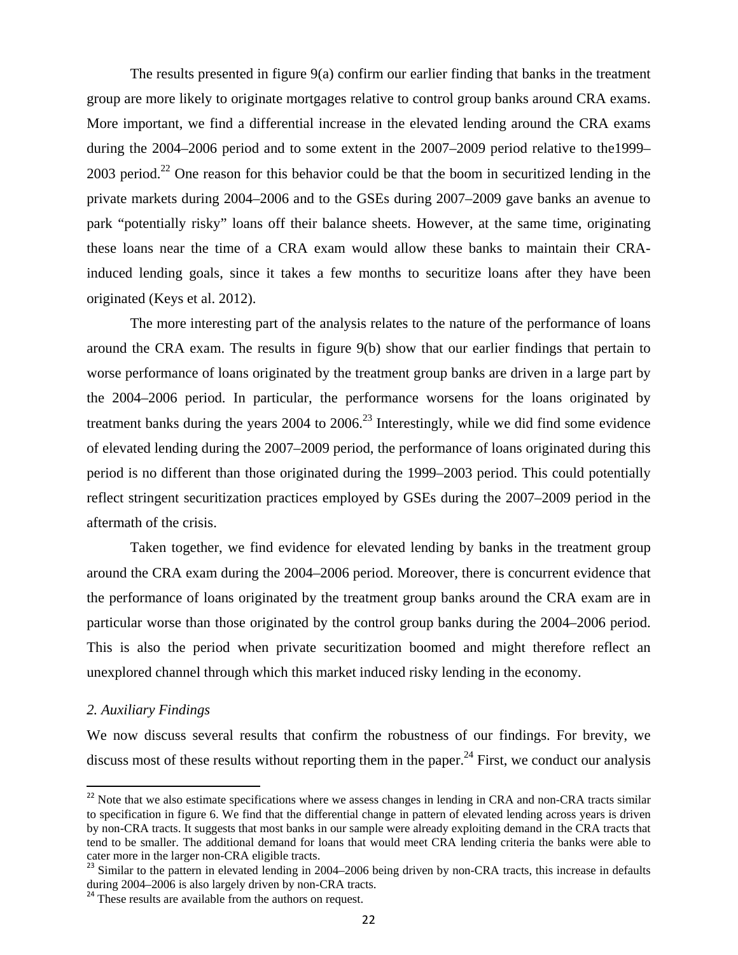The results presented in figure 9(a) confirm our earlier finding that banks in the treatment group are more likely to originate mortgages relative to control group banks around CRA exams. More important, we find a differential increase in the elevated lending around the CRA exams during the 2004–2006 period and to some extent in the 2007–2009 period relative to the1999–  $2003$  period.<sup>22</sup> One reason for this behavior could be that the boom in securitized lending in the private markets during 2004–2006 and to the GSEs during 2007–2009 gave banks an avenue to park "potentially risky" loans off their balance sheets. However, at the same time, originating these loans near the time of a CRA exam would allow these banks to maintain their CRAinduced lending goals, since it takes a few months to securitize loans after they have been originated (Keys et al. 2012).

The more interesting part of the analysis relates to the nature of the performance of loans around the CRA exam. The results in figure 9(b) show that our earlier findings that pertain to worse performance of loans originated by the treatment group banks are driven in a large part by the 2004–2006 period. In particular, the performance worsens for the loans originated by treatment banks during the years  $2004$  to  $2006<sup>23</sup>$  Interestingly, while we did find some evidence of elevated lending during the 2007–2009 period, the performance of loans originated during this period is no different than those originated during the 1999–2003 period. This could potentially reflect stringent securitization practices employed by GSEs during the 2007–2009 period in the aftermath of the crisis.

Taken together, we find evidence for elevated lending by banks in the treatment group around the CRA exam during the 2004–2006 period. Moreover, there is concurrent evidence that the performance of loans originated by the treatment group banks around the CRA exam are in particular worse than those originated by the control group banks during the 2004–2006 period. This is also the period when private securitization boomed and might therefore reflect an unexplored channel through which this market induced risky lending in the economy.

#### *2. Auxiliary Findings*

We now discuss several results that confirm the robustness of our findings. For brevity, we discuss most of these results without reporting them in the paper.<sup>24</sup> First, we conduct our analysis

 $22$  Note that we also estimate specifications where we assess changes in lending in CRA and non-CRA tracts similar to specification in figure 6. We find that the differential change in pattern of elevated lending across years is driven by non-CRA tracts. It suggests that most banks in our sample were already exploiting demand in the CRA tracts that tend to be smaller. The additional demand for loans that would meet CRA lending criteria the banks were able to

cater more in the larger non-CRA eligible tracts.<br><sup>23</sup> Similar to the pattern in elevated lending in 2004–2006 being driven by non-CRA tracts, this increase in defaults during 2004–2006 is also largely driven by non-CRA tracts.

<sup>&</sup>lt;sup>24</sup> These results are available from the authors on request.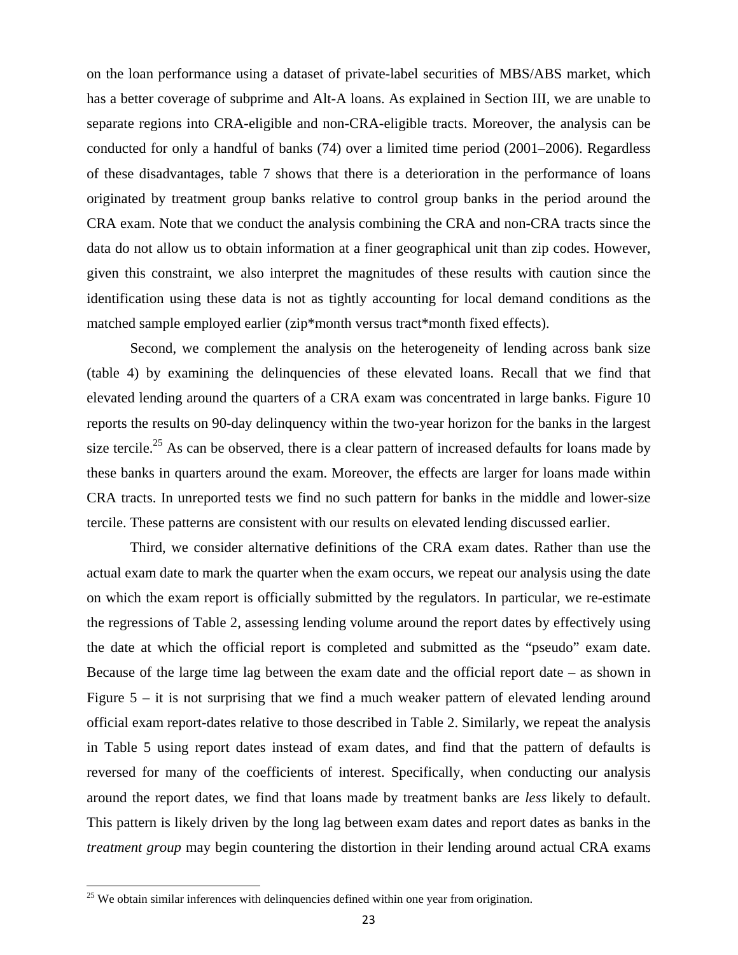on the loan performance using a dataset of private-label securities of MBS/ABS market, which has a better coverage of subprime and Alt-A loans. As explained in Section III, we are unable to separate regions into CRA-eligible and non-CRA-eligible tracts. Moreover, the analysis can be conducted for only a handful of banks (74) over a limited time period (2001–2006). Regardless of these disadvantages, table 7 shows that there is a deterioration in the performance of loans originated by treatment group banks relative to control group banks in the period around the CRA exam. Note that we conduct the analysis combining the CRA and non-CRA tracts since the data do not allow us to obtain information at a finer geographical unit than zip codes. However, given this constraint, we also interpret the magnitudes of these results with caution since the identification using these data is not as tightly accounting for local demand conditions as the matched sample employed earlier (zip\*month versus tract\*month fixed effects).

Second, we complement the analysis on the heterogeneity of lending across bank size (table 4) by examining the delinquencies of these elevated loans. Recall that we find that elevated lending around the quarters of a CRA exam was concentrated in large banks. Figure 10 reports the results on 90-day delinquency within the two-year horizon for the banks in the largest size tercile.<sup>25</sup> As can be observed, there is a clear pattern of increased defaults for loans made by these banks in quarters around the exam. Moreover, the effects are larger for loans made within CRA tracts. In unreported tests we find no such pattern for banks in the middle and lower-size tercile. These patterns are consistent with our results on elevated lending discussed earlier.

Third, we consider alternative definitions of the CRA exam dates. Rather than use the actual exam date to mark the quarter when the exam occurs, we repeat our analysis using the date on which the exam report is officially submitted by the regulators. In particular, we re-estimate the regressions of Table 2, assessing lending volume around the report dates by effectively using the date at which the official report is completed and submitted as the "pseudo" exam date. Because of the large time lag between the exam date and the official report date – as shown in Figure  $5 - it$  is not surprising that we find a much weaker pattern of elevated lending around official exam report-dates relative to those described in Table 2. Similarly, we repeat the analysis in Table 5 using report dates instead of exam dates, and find that the pattern of defaults is reversed for many of the coefficients of interest. Specifically, when conducting our analysis around the report dates, we find that loans made by treatment banks are *less* likely to default. This pattern is likely driven by the long lag between exam dates and report dates as banks in the *treatment group* may begin countering the distortion in their lending around actual CRA exams

 $25$  We obtain similar inferences with delinquencies defined within one year from origination.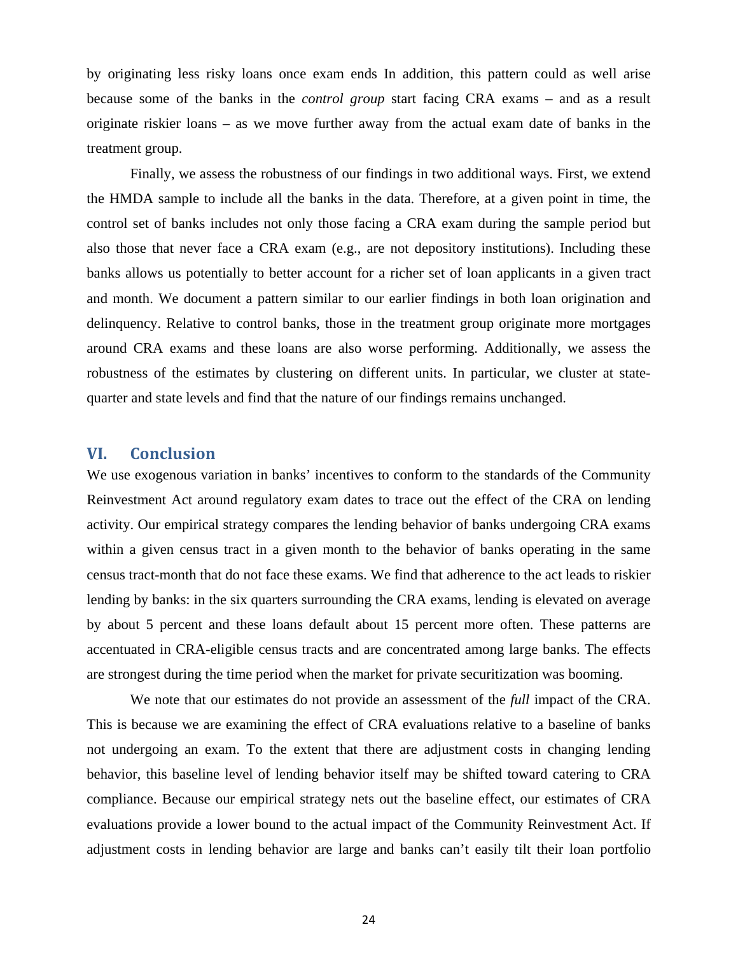by originating less risky loans once exam ends In addition, this pattern could as well arise because some of the banks in the *control group* start facing CRA exams – and as a result originate riskier loans – as we move further away from the actual exam date of banks in the treatment group.

Finally, we assess the robustness of our findings in two additional ways. First, we extend the HMDA sample to include all the banks in the data. Therefore, at a given point in time, the control set of banks includes not only those facing a CRA exam during the sample period but also those that never face a CRA exam (e.g., are not depository institutions). Including these banks allows us potentially to better account for a richer set of loan applicants in a given tract and month. We document a pattern similar to our earlier findings in both loan origination and delinquency. Relative to control banks, those in the treatment group originate more mortgages around CRA exams and these loans are also worse performing. Additionally, we assess the robustness of the estimates by clustering on different units. In particular, we cluster at statequarter and state levels and find that the nature of our findings remains unchanged.

# **VI. Conclusion**

We use exogenous variation in banks' incentives to conform to the standards of the Community Reinvestment Act around regulatory exam dates to trace out the effect of the CRA on lending activity. Our empirical strategy compares the lending behavior of banks undergoing CRA exams within a given census tract in a given month to the behavior of banks operating in the same census tract-month that do not face these exams. We find that adherence to the act leads to riskier lending by banks: in the six quarters surrounding the CRA exams, lending is elevated on average by about 5 percent and these loans default about 15 percent more often. These patterns are accentuated in CRA-eligible census tracts and are concentrated among large banks. The effects are strongest during the time period when the market for private securitization was booming.

 We note that our estimates do not provide an assessment of the *full* impact of the CRA. This is because we are examining the effect of CRA evaluations relative to a baseline of banks not undergoing an exam. To the extent that there are adjustment costs in changing lending behavior, this baseline level of lending behavior itself may be shifted toward catering to CRA compliance. Because our empirical strategy nets out the baseline effect, our estimates of CRA evaluations provide a lower bound to the actual impact of the Community Reinvestment Act. If adjustment costs in lending behavior are large and banks can't easily tilt their loan portfolio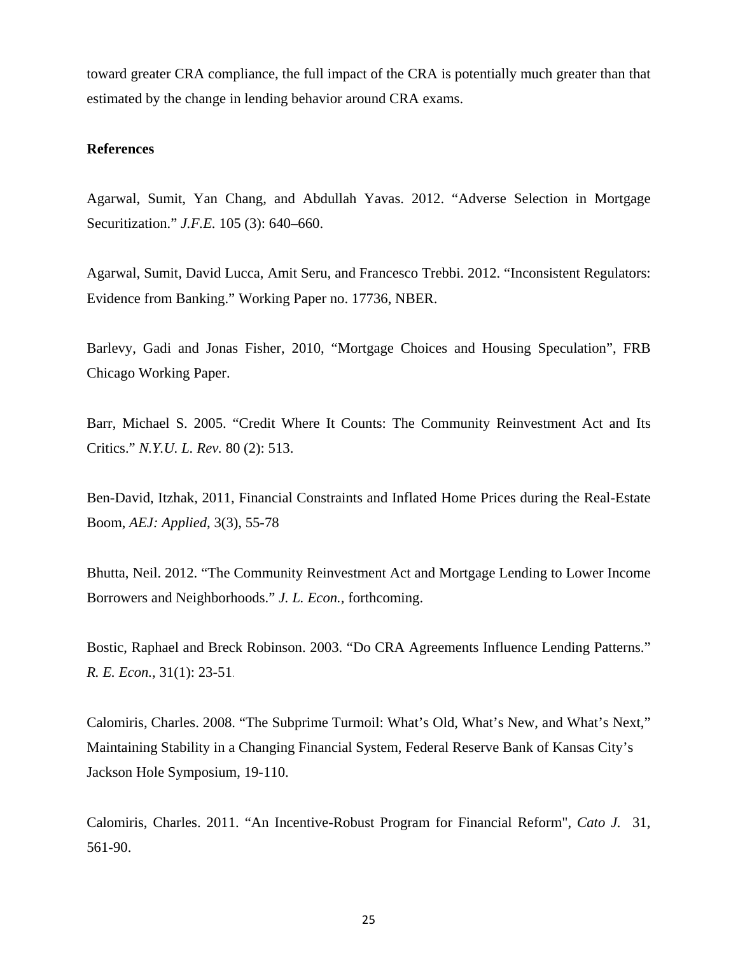toward greater CRA compliance, the full impact of the CRA is potentially much greater than that estimated by the change in lending behavior around CRA exams.

### **References**

Agarwal, Sumit, Yan Chang, and Abdullah Yavas. 2012. "Adverse Selection in Mortgage Securitization." *J.F.E.* 105 (3): 640–660.

Agarwal, Sumit, David Lucca, Amit Seru, and Francesco Trebbi. 2012. "Inconsistent Regulators: Evidence from Banking." Working Paper no. 17736, NBER.

Barlevy, Gadi and Jonas Fisher, 2010, "Mortgage Choices and Housing Speculation", FRB Chicago Working Paper.

Barr, Michael S. 2005. "Credit Where It Counts: The Community Reinvestment Act and Its Critics." *N.Y.U. L. Rev.* 80 (2): 513.

Ben-David, Itzhak, 2011, Financial Constraints and Inflated Home Prices during the Real-Estate Boom, *AEJ: Applied*, 3(3), 55-78

Bhutta, Neil. 2012. "The Community Reinvestment Act and Mortgage Lending to Lower Income Borrowers and Neighborhoods." *J. L. Econ.,* forthcoming.

Bostic, Raphael and Breck Robinson. 2003. "Do CRA Agreements Influence Lending Patterns." *R. E. Econ.,* 31(1): 23-51.

Calomiris, Charles. 2008. "The Subprime Turmoil: What's Old, What's New, and What's Next," Maintaining Stability in a Changing Financial System, Federal Reserve Bank of Kansas City's Jackson Hole Symposium, 19-110.

Calomiris, Charles. 2011. "An Incentive-Robust Program for Financial Reform", *Cato J.* 31, 561-90.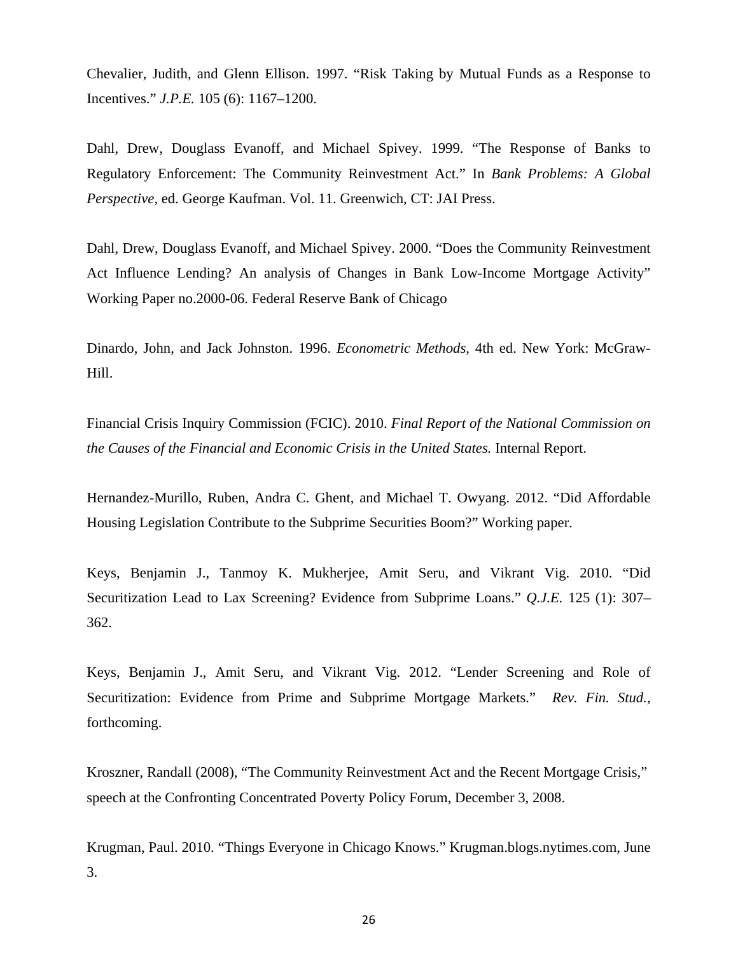Chevalier, Judith, and Glenn Ellison. 1997. "Risk Taking by Mutual Funds as a Response to Incentives." *J.P.E.* 105 (6): 1167–1200.

Dahl, Drew, Douglass Evanoff, and Michael Spivey. 1999. "The Response of Banks to Regulatory Enforcement: The Community Reinvestment Act." In *Bank Problems: A Global Perspective,* ed. George Kaufman. Vol. 11. Greenwich, CT: JAI Press.

Dahl, Drew, Douglass Evanoff, and Michael Spivey. 2000. "Does the Community Reinvestment Act Influence Lending? An analysis of Changes in Bank Low-Income Mortgage Activity" Working Paper no.2000-06. Federal Reserve Bank of Chicago

Dinardo, John, and Jack Johnston. 1996. *Econometric Methods*, 4th ed. New York: McGraw-Hill.

Financial Crisis Inquiry Commission (FCIC). 2010. *Final Report of the National Commission on the Causes of the Financial and Economic Crisis in the United States.* Internal Report.

Hernandez-Murillo, Ruben, Andra C. Ghent, and Michael T. Owyang. 2012. "Did Affordable Housing Legislation Contribute to the Subprime Securities Boom?" Working paper.

Keys, Benjamin J., Tanmoy K. Mukherjee, Amit Seru, and Vikrant Vig. 2010. "Did Securitization Lead to Lax Screening? Evidence from Subprime Loans." *Q.J.E.* 125 (1): 307– 362.

Keys, Benjamin J., Amit Seru, and Vikrant Vig. 2012. "Lender Screening and Role of Securitization: Evidence from Prime and Subprime Mortgage Markets." *Rev. Fin. Stud.,*  forthcoming.

Kroszner, Randall (2008), "The Community Reinvestment Act and the Recent Mortgage Crisis," speech at the Confronting Concentrated Poverty Policy Forum, December 3, 2008.

Krugman, Paul. 2010. "Things Everyone in Chicago Knows." Krugman.blogs.nytimes.com, June 3.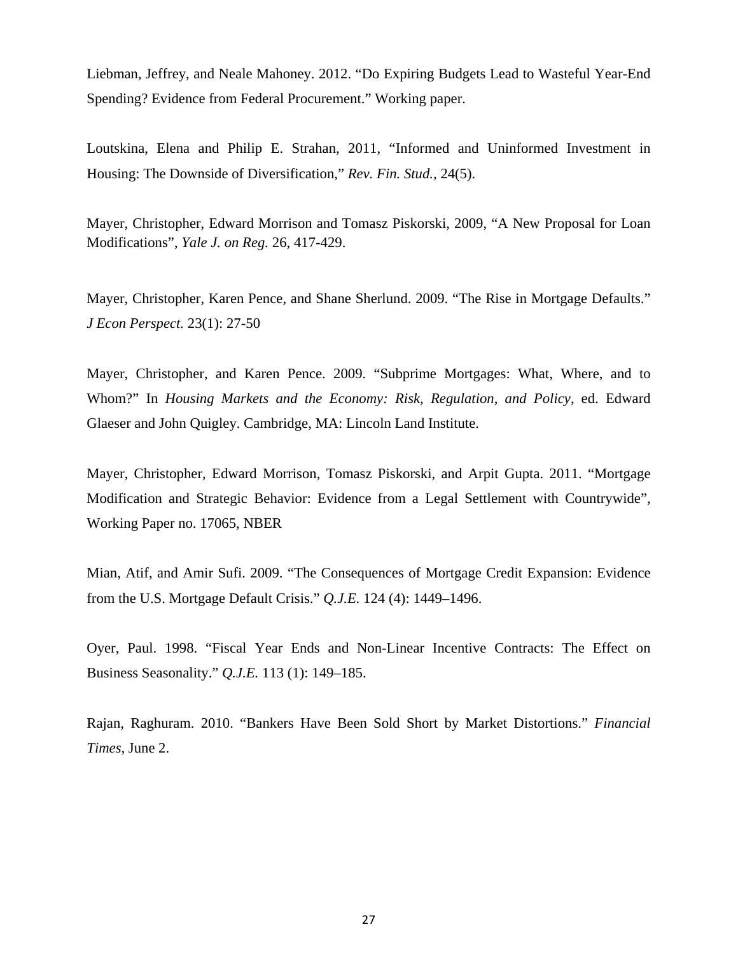Liebman, Jeffrey, and Neale Mahoney. 2012. "Do Expiring Budgets Lead to Wasteful Year-End Spending? Evidence from Federal Procurement." Working paper.

Loutskina, Elena and Philip E. Strahan, 2011, "Informed and Uninformed Investment in Housing: The Downside of Diversification," *Rev. Fin. Stud.,* 24(5).

Mayer, Christopher, Edward Morrison and Tomasz Piskorski, 2009, "A New Proposal for Loan Modifications", *Yale J. on Reg.* 26, 417-429.

Mayer, Christopher, Karen Pence, and Shane Sherlund. 2009. "The Rise in Mortgage Defaults." *J Econ Perspect.* 23(1): 27-50

Mayer, Christopher, and Karen Pence. 2009. "Subprime Mortgages: What, Where, and to Whom?" In *Housing Markets and the Economy: Risk, Regulation, and Policy,* ed. Edward Glaeser and John Quigley. Cambridge, MA: Lincoln Land Institute.

Mayer, Christopher, Edward Morrison, Tomasz Piskorski, and Arpit Gupta. 2011. "Mortgage Modification and Strategic Behavior: Evidence from a Legal Settlement with Countrywide", Working Paper no. 17065, NBER

Mian, Atif, and Amir Sufi. 2009. "The Consequences of Mortgage Credit Expansion: Evidence from the U.S. Mortgage Default Crisis." *Q.J.E.* 124 (4): 1449–1496.

Oyer, Paul. 1998. "Fiscal Year Ends and Non-Linear Incentive Contracts: The Effect on Business Seasonality." *Q.J.E.* 113 (1): 149–185.

Rajan, Raghuram. 2010. "Bankers Have Been Sold Short by Market Distortions." *Financial Times,* June 2.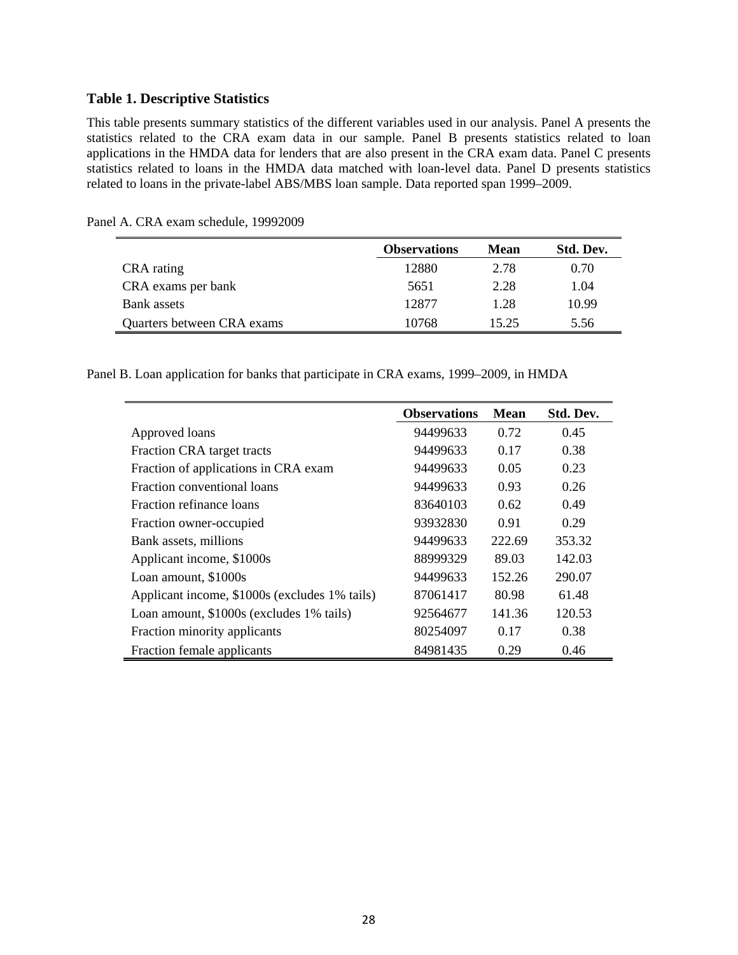#### **Table 1. Descriptive Statistics**

This table presents summary statistics of the different variables used in our analysis. Panel A presents the statistics related to the CRA exam data in our sample. Panel B presents statistics related to loan applications in the HMDA data for lenders that are also present in the CRA exam data. Panel C presents statistics related to loans in the HMDA data matched with loan-level data. Panel D presents statistics related to loans in the private-label ABS/MBS loan sample. Data reported span 1999–2009.

|                            | <b>Observations</b> | <b>Mean</b> | Std. Dev. |
|----------------------------|---------------------|-------------|-----------|
| CRA rating                 | 12880               | 2.78        | 0.70      |
| CRA exams per bank         | 5651                | 2.28        | 1.04      |
| Bank assets                | 12877               | 1.28        | 10.99     |
| Quarters between CRA exams | 10768               | 15.25       | 5.56      |

Panel A. CRA exam schedule, 19992009

Panel B. Loan application for banks that participate in CRA exams, 1999–2009, in HMDA

|                                               | <b>Observations</b> | <b>Mean</b> | Std. Dev. |
|-----------------------------------------------|---------------------|-------------|-----------|
| Approved loans                                | 94499633            | 0.72        | 0.45      |
| Fraction CRA target tracts                    | 94499633            | 0.17        | 0.38      |
| Fraction of applications in CRA exam          | 94499633            | 0.05        | 0.23      |
| Fraction conventional loans                   | 94499633            | 0.93        | 0.26      |
| <b>Fraction refinance loans</b>               | 83640103            | 0.62        | 0.49      |
| Fraction owner-occupied                       | 93932830            | 0.91        | 0.29      |
| Bank assets, millions                         | 94499633            | 222.69      | 353.32    |
| Applicant income, \$1000s                     | 88999329            | 89.03       | 142.03    |
| Loan amount, \$1000s                          | 94499633            | 152.26      | 290.07    |
| Applicant income, \$1000s (excludes 1% tails) | 87061417            | 80.98       | 61.48     |
| Loan amount, \$1000s (excludes 1% tails)      | 92564677            | 141.36      | 120.53    |
| Fraction minority applicants                  | 80254097            | 0.17        | 0.38      |
| Fraction female applicants                    | 84981435            | 0.29        | 0.46      |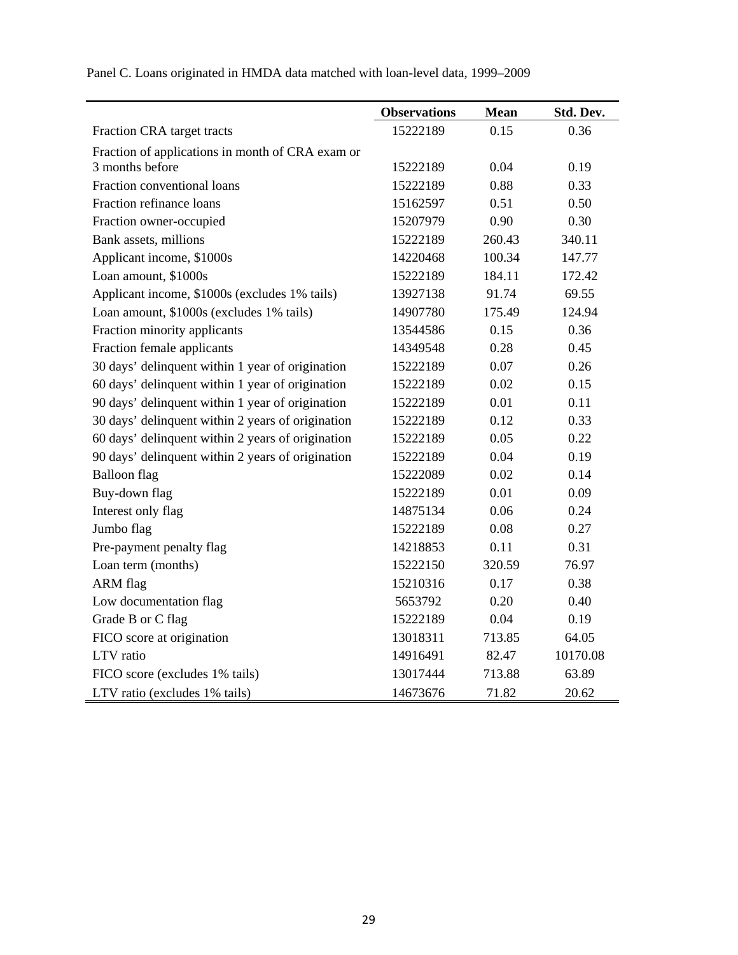|                                                   | <b>Observations</b> | <b>Mean</b> | Std. Dev. |
|---------------------------------------------------|---------------------|-------------|-----------|
| Fraction CRA target tracts                        | 15222189            | 0.15        | 0.36      |
| Fraction of applications in month of CRA exam or  |                     |             |           |
| 3 months before                                   | 15222189            | 0.04        | 0.19      |
| Fraction conventional loans                       | 15222189            | 0.88        | 0.33      |
| Fraction refinance loans                          | 15162597            | 0.51        | 0.50      |
| Fraction owner-occupied                           | 15207979            | 0.90        | 0.30      |
| Bank assets, millions                             | 15222189            | 260.43      | 340.11    |
| Applicant income, \$1000s                         | 14220468            | 100.34      | 147.77    |
| Loan amount, \$1000s                              | 15222189            | 184.11      | 172.42    |
| Applicant income, \$1000s (excludes 1% tails)     | 13927138            | 91.74       | 69.55     |
| Loan amount, \$1000s (excludes 1% tails)          | 14907780            | 175.49      | 124.94    |
| Fraction minority applicants                      | 13544586            | 0.15        | 0.36      |
| Fraction female applicants                        | 14349548            | 0.28        | 0.45      |
| 30 days' delinquent within 1 year of origination  | 15222189            | 0.07        | 0.26      |
| 60 days' delinquent within 1 year of origination  | 15222189            | 0.02        | 0.15      |
| 90 days' delinquent within 1 year of origination  | 15222189            | 0.01        | 0.11      |
| 30 days' delinquent within 2 years of origination | 15222189            | 0.12        | 0.33      |
| 60 days' delinquent within 2 years of origination | 15222189            | 0.05        | 0.22      |
| 90 days' delinquent within 2 years of origination | 15222189            | 0.04        | 0.19      |
| <b>Balloon</b> flag                               | 15222089            | 0.02        | 0.14      |
| Buy-down flag                                     | 15222189            | 0.01        | 0.09      |
| Interest only flag                                | 14875134            | 0.06        | 0.24      |
| Jumbo flag                                        | 15222189            | 0.08        | 0.27      |
| Pre-payment penalty flag                          | 14218853            | 0.11        | 0.31      |
| Loan term (months)                                | 15222150            | 320.59      | 76.97     |
| ARM flag                                          | 15210316            | 0.17        | 0.38      |
| Low documentation flag                            | 5653792             | 0.20        | 0.40      |
| Grade B or C flag                                 | 15222189            | 0.04        | 0.19      |
| FICO score at origination                         | 13018311            | 713.85      | 64.05     |
| LTV ratio                                         | 14916491            | 82.47       | 10170.08  |
| FICO score (excludes 1% tails)                    | 13017444            | 713.88      | 63.89     |
| LTV ratio (excludes 1% tails)                     | 14673676            | 71.82       | 20.62     |

Panel C. Loans originated in HMDA data matched with loan-level data, 1999–2009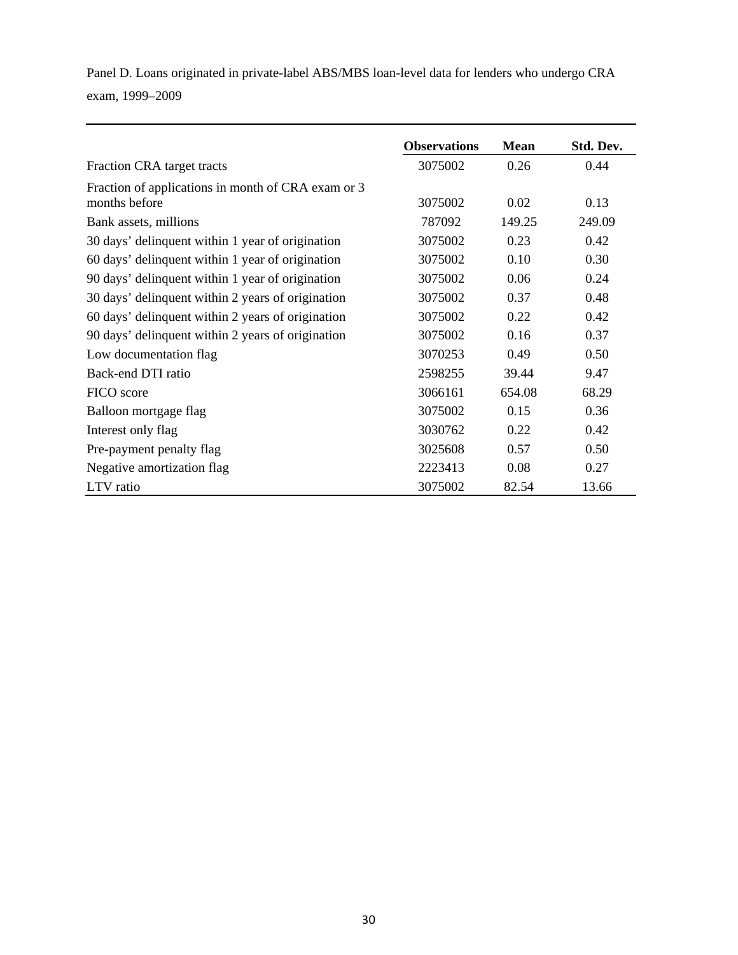Panel D. Loans originated in private-label ABS/MBS loan-level data for lenders who undergo CRA exam, 1999–2009

|                                                                     | <b>Observations</b> | <b>Mean</b> | Std. Dev. |
|---------------------------------------------------------------------|---------------------|-------------|-----------|
| Fraction CRA target tracts                                          | 3075002             | 0.26        | 0.44      |
| Fraction of applications in month of CRA exam or 3<br>months before | 3075002             | 0.02        | 0.13      |
| Bank assets, millions                                               | 787092              | 149.25      | 249.09    |
| 30 days' delinquent within 1 year of origination                    | 3075002             | 0.23        | 0.42      |
| 60 days' delinquent within 1 year of origination                    | 3075002             | 0.10        | 0.30      |
| 90 days' delinquent within 1 year of origination                    | 3075002             | 0.06        | 0.24      |
| 30 days' delinquent within 2 years of origination                   | 3075002             | 0.37        | 0.48      |
| 60 days' delinquent within 2 years of origination                   | 3075002             | 0.22        | 0.42      |
| 90 days' delinquent within 2 years of origination                   | 3075002             | 0.16        | 0.37      |
| Low documentation flag                                              | 3070253             | 0.49        | 0.50      |
| Back-end DTI ratio                                                  | 2598255             | 39.44       | 9.47      |
| FICO score                                                          | 3066161             | 654.08      | 68.29     |
| Balloon mortgage flag                                               | 3075002             | 0.15        | 0.36      |
| Interest only flag                                                  | 3030762             | 0.22        | 0.42      |
| Pre-payment penalty flag                                            | 3025608             | 0.57        | 0.50      |
| Negative amortization flag                                          | 2223413             | 0.08        | 0.27      |
| LTV ratio                                                           | 3075002             | 82.54       | 13.66     |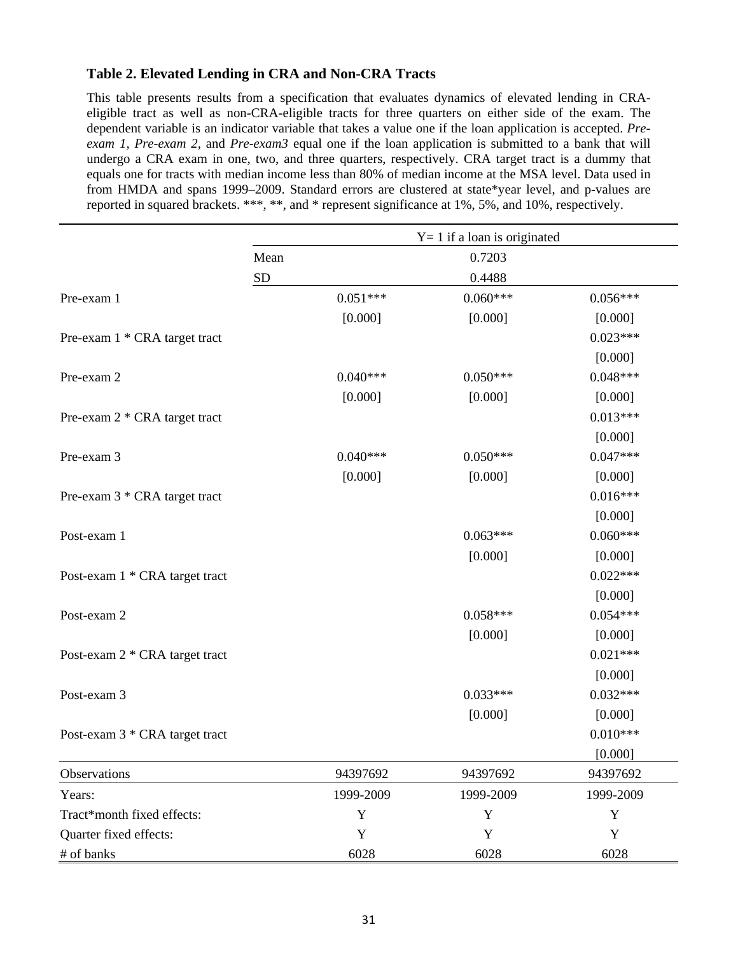# **Table 2. Elevated Lending in CRA and Non-CRA Tracts**

This table presents results from a specification that evaluates dynamics of elevated lending in CRAeligible tract as well as non-CRA-eligible tracts for three quarters on either side of the exam. The dependent variable is an indicator variable that takes a value one if the loan application is accepted. *Preexam 1, Pre-exam 2,* and *Pre-exam3* equal one if the loan application is submitted to a bank that will undergo a CRA exam in one, two, and three quarters, respectively. CRA target tract is a dummy that equals one for tracts with median income less than 80% of median income at the MSA level. Data used in from HMDA and spans 1999–2009. Standard errors are clustered at state\*year level, and p-values are reported in squared brackets. \*\*\*, \*\*, and \* represent significance at 1%, 5%, and 10%, respectively.

|                                |           |            | $Y = 1$ if a loan is originated |            |
|--------------------------------|-----------|------------|---------------------------------|------------|
|                                | Mean      |            | 0.7203                          |            |
|                                | <b>SD</b> |            | 0.4488                          |            |
| Pre-exam 1                     |           | $0.051***$ | $0.060***$                      | $0.056***$ |
|                                |           | [0.000]    | [0.000]                         | [0.000]    |
| Pre-exam 1 * CRA target tract  |           |            |                                 | $0.023***$ |
|                                |           |            |                                 | [0.000]    |
| Pre-exam 2                     |           | $0.040***$ | $0.050***$                      | $0.048***$ |
|                                |           | [0.000]    | [0.000]                         | [0.000]    |
| Pre-exam 2 * CRA target tract  |           |            |                                 | $0.013***$ |
|                                |           |            |                                 | [0.000]    |
| Pre-exam 3                     |           | $0.040***$ | $0.050***$                      | $0.047***$ |
|                                |           | [0.000]    | [0.000]                         | [0.000]    |
| Pre-exam 3 * CRA target tract  |           |            |                                 | $0.016***$ |
|                                |           |            |                                 | [0.000]    |
| Post-exam 1                    |           |            | $0.063***$                      | $0.060***$ |
|                                |           |            | [0.000]                         | [0.000]    |
| Post-exam 1 * CRA target tract |           |            |                                 | $0.022***$ |
|                                |           |            |                                 | [0.000]    |
| Post-exam 2                    |           |            | $0.058***$                      | $0.054***$ |
|                                |           |            | [0.000]                         | [0.000]    |
| Post-exam 2 * CRA target tract |           |            |                                 | $0.021***$ |
|                                |           |            |                                 | [0.000]    |
| Post-exam 3                    |           |            | $0.033***$                      | $0.032***$ |
|                                |           |            | [0.000]                         | [0.000]    |
| Post-exam 3 * CRA target tract |           |            |                                 | $0.010***$ |
|                                |           |            |                                 | [0.000]    |
| Observations                   |           | 94397692   | 94397692                        | 94397692   |
| Years:                         |           | 1999-2009  | 1999-2009                       | 1999-2009  |
| Tract*month fixed effects:     |           | Y          | $\mathbf Y$                     | Y          |
| Quarter fixed effects:         |           | Y          | Y                               | Y          |
| # of banks                     |           | 6028       | 6028                            | 6028       |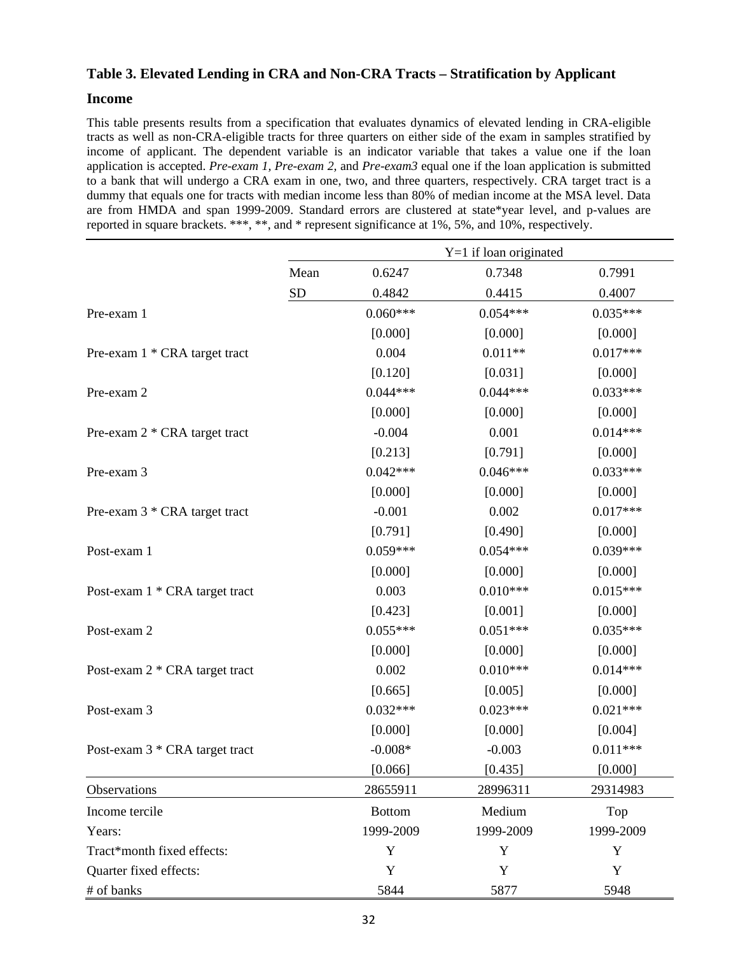# **Table 3. Elevated Lending in CRA and Non-CRA Tracts – Stratification by Applicant**

#### **Income**

This table presents results from a specification that evaluates dynamics of elevated lending in CRA-eligible tracts as well as non-CRA-eligible tracts for three quarters on either side of the exam in samples stratified by income of applicant. The dependent variable is an indicator variable that takes a value one if the loan application is accepted. *Pre-exam 1, Pre-exam 2,* and *Pre-exam3* equal one if the loan application is submitted to a bank that will undergo a CRA exam in one, two, and three quarters, respectively. CRA target tract is a dummy that equals one for tracts with median income less than 80% of median income at the MSA level. Data are from HMDA and span 1999-2009. Standard errors are clustered at state\*year level, and p-values are reported in square brackets. \*\*\*, \*\*, and \* represent significance at 1%, 5%, and 10%, respectively.

|                                |      |               | $Y=1$ if loan originated |            |
|--------------------------------|------|---------------|--------------------------|------------|
|                                | Mean | 0.6247        | 0.7348                   | 0.7991     |
|                                | SD   | 0.4842        | 0.4415                   | 0.4007     |
| Pre-exam 1                     |      | $0.060***$    | $0.054***$               | $0.035***$ |
|                                |      | [0.000]       | [0.000]                  | [0.000]    |
| Pre-exam 1 * CRA target tract  |      | 0.004         | $0.011**$                | $0.017***$ |
|                                |      | [0.120]       | [0.031]                  | [0.000]    |
| Pre-exam 2                     |      | $0.044***$    | $0.044***$               | $0.033***$ |
|                                |      | [0.000]       | [0.000]                  | [0.000]    |
| Pre-exam 2 * CRA target tract  |      | $-0.004$      | 0.001                    | $0.014***$ |
|                                |      | [0.213]       | [0.791]                  | [0.000]    |
| Pre-exam 3                     |      | $0.042***$    | $0.046***$               | $0.033***$ |
|                                |      | [0.000]       | [0.000]                  | [0.000]    |
| Pre-exam 3 * CRA target tract  |      | $-0.001$      | 0.002                    | $0.017***$ |
|                                |      | [0.791]       | [0.490]                  | [0.000]    |
| Post-exam 1                    |      | $0.059***$    | $0.054***$               | $0.039***$ |
|                                |      | [0.000]       | [0.000]                  | [0.000]    |
| Post-exam 1 * CRA target tract |      | 0.003         | $0.010***$               | $0.015***$ |
|                                |      | [0.423]       | [0.001]                  | [0.000]    |
| Post-exam 2                    |      | $0.055***$    | $0.051***$               | $0.035***$ |
|                                |      | [0.000]       | [0.000]                  | [0.000]    |
| Post-exam 2 * CRA target tract |      | 0.002         | $0.010***$               | $0.014***$ |
|                                |      | [0.665]       | [0.005]                  | [0.000]    |
| Post-exam 3                    |      | $0.032***$    | $0.023***$               | $0.021***$ |
|                                |      | [0.000]       | [0.000]                  | [0.004]    |
| Post-exam 3 * CRA target tract |      | $-0.008*$     | $-0.003$                 | $0.011***$ |
|                                |      | [0.066]       | [0.435]                  | [0.000]    |
| Observations                   |      | 28655911      | 28996311                 | 29314983   |
| Income tercile                 |      | <b>Bottom</b> | Medium                   | Top        |
| Years:                         |      | 1999-2009     | 1999-2009                | 1999-2009  |
| Tract*month fixed effects:     |      | $\mathbf Y$   | Y                        | Y          |
| Quarter fixed effects:         |      | Y             | Y                        | Y          |
| # of banks                     |      | 5844          | 5877                     | 5948       |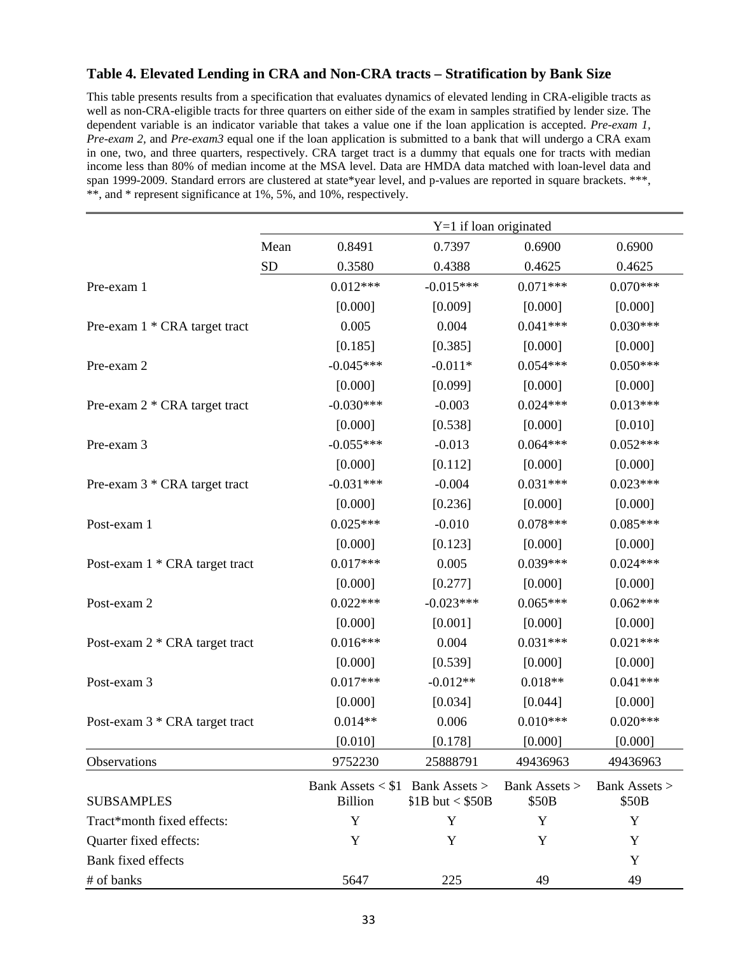# **Table 4. Elevated Lending in CRA and Non-CRA tracts – Stratification by Bank Size**

This table presents results from a specification that evaluates dynamics of elevated lending in CRA-eligible tracts as well as non-CRA-eligible tracts for three quarters on either side of the exam in samples stratified by lender size. The dependent variable is an indicator variable that takes a value one if the loan application is accepted. *Pre-exam 1, Pre-exam 2,* and *Pre-exam3* equal one if the loan application is submitted to a bank that will undergo a CRA exam in one, two, and three quarters, respectively. CRA target tract is a dummy that equals one for tracts with median income less than 80% of median income at the MSA level. Data are HMDA data matched with loan-level data and span 1999-2009. Standard errors are clustered at state\*year level, and p-values are reported in square brackets. \*\*\*, \*\*, and \* represent significance at 1%, 5%, and 10%, respectively.

|                                | $Y=1$ if loan originated |                                                   |                   |                        |                        |
|--------------------------------|--------------------------|---------------------------------------------------|-------------------|------------------------|------------------------|
|                                | Mean                     | 0.8491                                            | 0.7397            | 0.6900                 | 0.6900                 |
|                                | ${\rm SD}$               | 0.3580                                            | 0.4388            | 0.4625                 | 0.4625                 |
| Pre-exam 1                     |                          | $0.012***$                                        | $-0.015***$       | $0.071***$             | $0.070***$             |
|                                |                          | [0.000]                                           | [0.009]           | [0.000]                | [0.000]                |
| Pre-exam 1 * CRA target tract  |                          | 0.005                                             | 0.004             | $0.041***$             | $0.030***$             |
|                                |                          | [0.185]                                           | [0.385]           | [0.000]                | [0.000]                |
| Pre-exam 2                     |                          | $-0.045***$                                       | $-0.011*$         | $0.054***$             | $0.050***$             |
|                                |                          | [0.000]                                           | [0.099]           | [0.000]                | [0.000]                |
| Pre-exam 2 * CRA target tract  |                          | $-0.030***$                                       | $-0.003$          | $0.024***$             | $0.013***$             |
|                                |                          | [0.000]                                           | [0.538]           | [0.000]                | [0.010]                |
| Pre-exam 3                     |                          | $-0.055***$                                       | $-0.013$          | $0.064***$             | $0.052***$             |
|                                |                          | [0.000]                                           | [0.112]           | [0.000]                | [0.000]                |
| Pre-exam 3 * CRA target tract  |                          | $-0.031***$                                       | $-0.004$          | $0.031***$             | $0.023***$             |
|                                |                          | [0.000]                                           | [0.236]           | [0.000]                | [0.000]                |
| Post-exam 1                    |                          | $0.025***$                                        | $-0.010$          | $0.078***$             | $0.085***$             |
|                                |                          | [0.000]                                           | [0.123]           | [0.000]                | [0.000]                |
| Post-exam 1 * CRA target tract |                          | $0.017***$                                        | 0.005             | $0.039***$             | $0.024***$             |
|                                |                          | [0.000]                                           | [0.277]           | [0.000]                | [0.000]                |
| Post-exam 2                    |                          | $0.022***$                                        | $-0.023***$       | $0.065***$             | $0.062***$             |
|                                |                          | [0.000]                                           | [0.001]           | [0.000]                | [0.000]                |
| Post-exam 2 * CRA target tract |                          | $0.016***$                                        | 0.004             | $0.031***$             | $0.021***$             |
|                                |                          | [0.000]                                           | [0.539]           | [0.000]                | [0.000]                |
| Post-exam 3                    |                          | $0.017***$                                        | $-0.012**$        | $0.018**$              | $0.041***$             |
|                                |                          | [0.000]                                           | [0.034]           | [0.044]                | [0.000]                |
| Post-exam 3 * CRA target tract |                          | $0.014**$                                         | 0.006             | $0.010***$             | $0.020***$             |
|                                |                          | [0.010]                                           | [0.178]           | [0.000]                | [0.000]                |
| Observations                   |                          | 9752230                                           | 25888791          | 49436963               | 49436963               |
| <b>SUBSAMPLES</b>              |                          | Bank Assets < \$1 Bank Assets ><br><b>Billion</b> | $$1B$ but < \$50B | Bank Assets ><br>\$50B | Bank Assets ><br>\$50B |
| Tract*month fixed effects:     |                          | Y                                                 | Y                 | Y                      | Y                      |
| Quarter fixed effects:         |                          | $\mathbf Y$                                       | Y                 | Y                      | Y                      |
| Bank fixed effects             |                          |                                                   |                   |                        | Y                      |
| # of banks                     |                          | 5647                                              | 225               | 49                     | 49                     |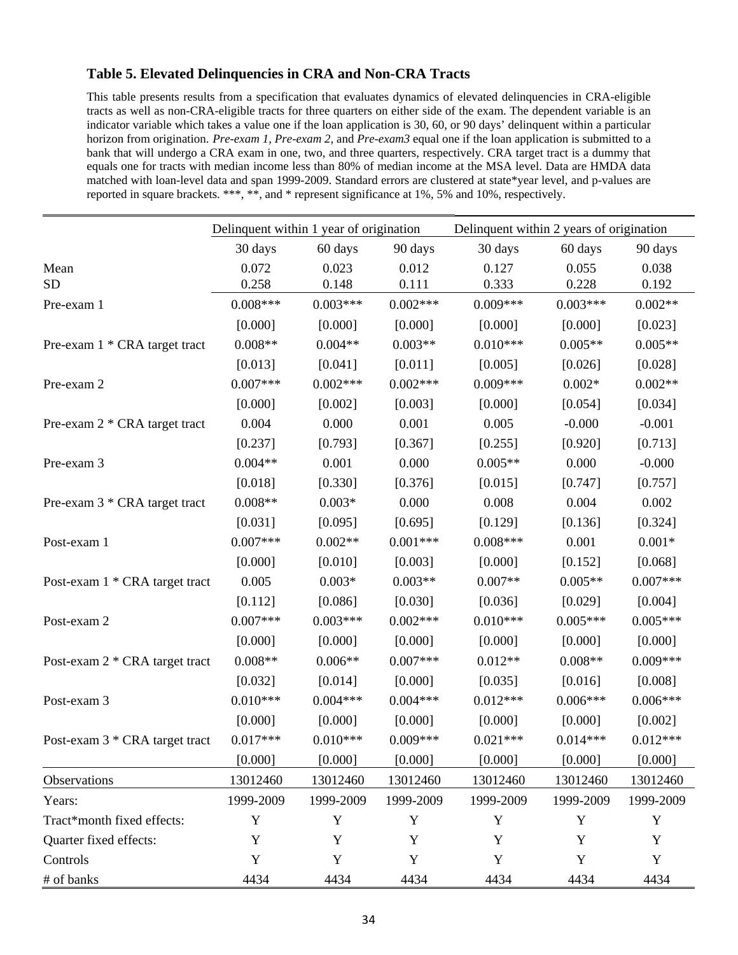# **Table 5. Elevated Delinquencies in CRA and Non-CRA Tracts**

This table presents results from a specification that evaluates dynamics of elevated delinquencies in CRA-eligible tracts as well as non-CRA-eligible tracts for three quarters on either side of the exam. The dependent variable is an indicator variable which takes a value one if the loan application is 30, 60, or 90 days' delinquent within a particular horizon from origination. *Pre-exam 1, Pre-exam 2,* and *Pre-exam3* equal one if the loan application is submitted to a bank that will undergo a CRA exam in one, two, and three quarters, respectively. CRA target tract is a dummy that equals one for tracts with median income less than 80% of median income at the MSA level. Data are HMDA data matched with loan-level data and span 1999-2009. Standard errors are clustered at state\*year level, and p-values are reported in square brackets. \*\*\*, \*\*, and \* represent significance at 1%, 5% and 10%, respectively.

|                                | Delinquent within 1 year of origination |             | Delinquent within 2 years of origination |             |             |            |
|--------------------------------|-----------------------------------------|-------------|------------------------------------------|-------------|-------------|------------|
|                                | 30 days                                 | 60 days     | 90 days                                  | 30 days     | 60 days     | 90 days    |
| Mean                           | 0.072                                   | 0.023       | 0.012                                    | 0.127       | 0.055       | 0.038      |
| <b>SD</b>                      | 0.258                                   | 0.148       | 0.111                                    | 0.333       | 0.228       | 0.192      |
| Pre-exam 1                     | $0.008***$                              | $0.003***$  | $0.002***$                               | $0.009***$  | $0.003***$  | $0.002**$  |
|                                | [0.000]                                 | [0.000]     | [0.000]                                  | [0.000]     | [0.000]     | [0.023]    |
| Pre-exam 1 * CRA target tract  | $0.008**$                               | $0.004**$   | $0.003**$                                | $0.010***$  | $0.005**$   | $0.005**$  |
|                                | [0.013]                                 | [0.041]     | [0.011]                                  | [0.005]     | [0.026]     | [0.028]    |
| Pre-exam 2                     | $0.007***$                              | $0.002***$  | $0.002***$                               | $0.009***$  | $0.002*$    | $0.002**$  |
|                                | [0.000]                                 | [0.002]     | [0.003]                                  | [0.000]     | [0.054]     | [0.034]    |
| Pre-exam 2 * CRA target tract  | 0.004                                   | 0.000       | 0.001                                    | 0.005       | $-0.000$    | $-0.001$   |
|                                | [0.237]                                 | [0.793]     | [0.367]                                  | [0.255]     | [0.920]     | [0.713]    |
| Pre-exam 3                     | $0.004**$                               | 0.001       | 0.000                                    | $0.005**$   | 0.000       | $-0.000$   |
|                                | [0.018]                                 | [0.330]     | [0.376]                                  | [0.015]     | [0.747]     | [0.757]    |
| Pre-exam 3 * CRA target tract  | $0.008**$                               | $0.003*$    | 0.000                                    | 0.008       | 0.004       | 0.002      |
|                                | [0.031]                                 | [0.095]     | [0.695]                                  | [0.129]     | [0.136]     | [0.324]    |
| Post-exam 1                    | $0.007***$                              | $0.002**$   | $0.001***$                               | $0.008***$  | 0.001       | $0.001*$   |
|                                | [0.000]                                 | [0.010]     | [0.003]                                  | [0.000]     | [0.152]     | [0.068]    |
| Post-exam 1 * CRA target tract | 0.005                                   | $0.003*$    | $0.003**$                                | $0.007**$   | $0.005**$   | $0.007***$ |
|                                | [0.112]                                 | [0.086]     | [0.030]                                  | [0.036]     | [0.029]     | [0.004]    |
| Post-exam 2                    | $0.007***$                              | $0.003***$  | $0.002***$                               | $0.010***$  | $0.005***$  | $0.005***$ |
|                                | [0.000]                                 | [0.000]     | [0.000]                                  | [0.000]     | [0.000]     | [0.000]    |
| Post-exam 2 * CRA target tract | $0.008**$                               | $0.006**$   | $0.007***$                               | $0.012**$   | $0.008**$   | $0.009***$ |
|                                | [0.032]                                 | [0.014]     | [0.000]                                  | [0.035]     | [0.016]     | [0.008]    |
| Post-exam 3                    | $0.010***$                              | $0.004***$  | $0.004***$                               | $0.012***$  | $0.006***$  | $0.006***$ |
|                                | [0.000]                                 | [0.000]     | [0.000]                                  | [0.000]     | [0.000]     | [0.002]    |
| Post-exam 3 * CRA target tract | $0.017***$                              | $0.010***$  | $0.009***$                               | $0.021***$  | $0.014***$  | $0.012***$ |
|                                | [0.000]                                 | [0.000]     | [0.000]                                  | [0.000]     | [0.000]     | [0.000]    |
| Observations                   | 13012460                                | 13012460    | 13012460                                 | 13012460    | 13012460    | 13012460   |
| Years:                         | 1999-2009                               | 1999-2009   | 1999-2009                                | 1999-2009   | 1999-2009   | 1999-2009  |
| Tract*month fixed effects:     | Y                                       | $\mathbf Y$ | $\mathbf Y$                              | $\mathbf Y$ | Y           | Y          |
| Quarter fixed effects:         | Y                                       | Y           | Y                                        | Y           | Y           | Y          |
| Controls                       | Y                                       | Y           | Y                                        | Y           | $\mathbf Y$ | Y          |
| # of banks                     | 4434                                    | 4434        | 4434                                     | 4434        | 4434        | 4434       |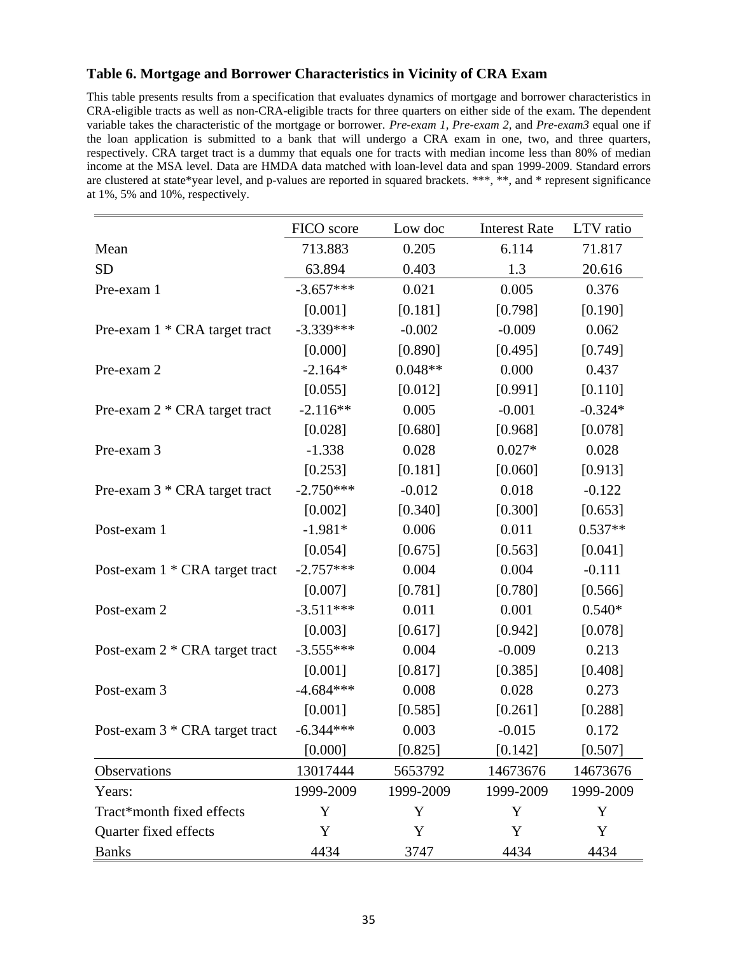# **Table 6. Mortgage and Borrower Characteristics in Vicinity of CRA Exam**

This table presents results from a specification that evaluates dynamics of mortgage and borrower characteristics in CRA-eligible tracts as well as non-CRA-eligible tracts for three quarters on either side of the exam. The dependent variable takes the characteristic of the mortgage or borrower. *Pre-exam 1, Pre-exam 2,* and *Pre-exam3* equal one if the loan application is submitted to a bank that will undergo a CRA exam in one, two, and three quarters, respectively. CRA target tract is a dummy that equals one for tracts with median income less than 80% of median income at the MSA level. Data are HMDA data matched with loan-level data and span 1999-2009. Standard errors are clustered at state\*year level, and p-values are reported in squared brackets. \*\*\*, \*\*, and \* represent significance at 1%, 5% and 10%, respectively.

|                                | FICO score  | Low doc   | <b>Interest Rate</b> | LTV ratio |
|--------------------------------|-------------|-----------|----------------------|-----------|
| Mean                           | 713.883     | 0.205     | 6.114                | 71.817    |
| <b>SD</b>                      | 63.894      | 0.403     | 1.3                  | 20.616    |
| Pre-exam 1                     | $-3.657***$ | 0.021     | 0.005                | 0.376     |
|                                | [0.001]     | [0.181]   | [0.798]              | [0.190]   |
| Pre-exam 1 * CRA target tract  | $-3.339***$ | $-0.002$  | $-0.009$             | 0.062     |
|                                | [0.000]     | [0.890]   | [0.495]              | [0.749]   |
| Pre-exam 2                     | $-2.164*$   | $0.048**$ | 0.000                | 0.437     |
|                                | [0.055]     | [0.012]   | [0.991]              | [0.110]   |
| Pre-exam 2 * CRA target tract  | $-2.116**$  | 0.005     | $-0.001$             | $-0.324*$ |
|                                | [0.028]     | [0.680]   | [0.968]              | [0.078]   |
| Pre-exam 3                     | $-1.338$    | 0.028     | $0.027*$             | 0.028     |
|                                | [0.253]     | [0.181]   | [0.060]              | [0.913]   |
| Pre-exam 3 * CRA target tract  | $-2.750***$ | $-0.012$  | 0.018                | $-0.122$  |
|                                | [0.002]     | [0.340]   | [0.300]              | [0.653]   |
| Post-exam 1                    | $-1.981*$   | 0.006     | 0.011                | $0.537**$ |
|                                | [0.054]     | [0.675]   | [0.563]              | [0.041]   |
| Post-exam 1 * CRA target tract | $-2.757***$ | 0.004     | 0.004                | $-0.111$  |
|                                | [0.007]     | [0.781]   | [0.780]              | [0.566]   |
| Post-exam 2                    | $-3.511***$ | 0.011     | 0.001                | $0.540*$  |
|                                | [0.003]     | [0.617]   | [0.942]              | [0.078]   |
| Post-exam 2 * CRA target tract | $-3.555***$ | 0.004     | $-0.009$             | 0.213     |
|                                | [0.001]     | [0.817]   | [0.385]              | [0.408]   |
| Post-exam 3                    | $-4.684***$ | 0.008     | 0.028                | 0.273     |
|                                | [0.001]     | [0.585]   | [0.261]              | [0.288]   |
| Post-exam 3 * CRA target tract | $-6.344***$ | 0.003     | $-0.015$             | 0.172     |
|                                | [0.000]     | [0.825]   | [0.142]              | [0.507]   |
| Observations                   | 13017444    | 5653792   | 14673676             | 14673676  |
| Years:                         | 1999-2009   | 1999-2009 | 1999-2009            | 1999-2009 |
| Tract*month fixed effects      | Y           | Y         | Y                    | Y         |
| Quarter fixed effects          | Y           | Y         | Y                    | Y         |
| <b>Banks</b>                   | 4434        | 3747      | 4434                 | 4434      |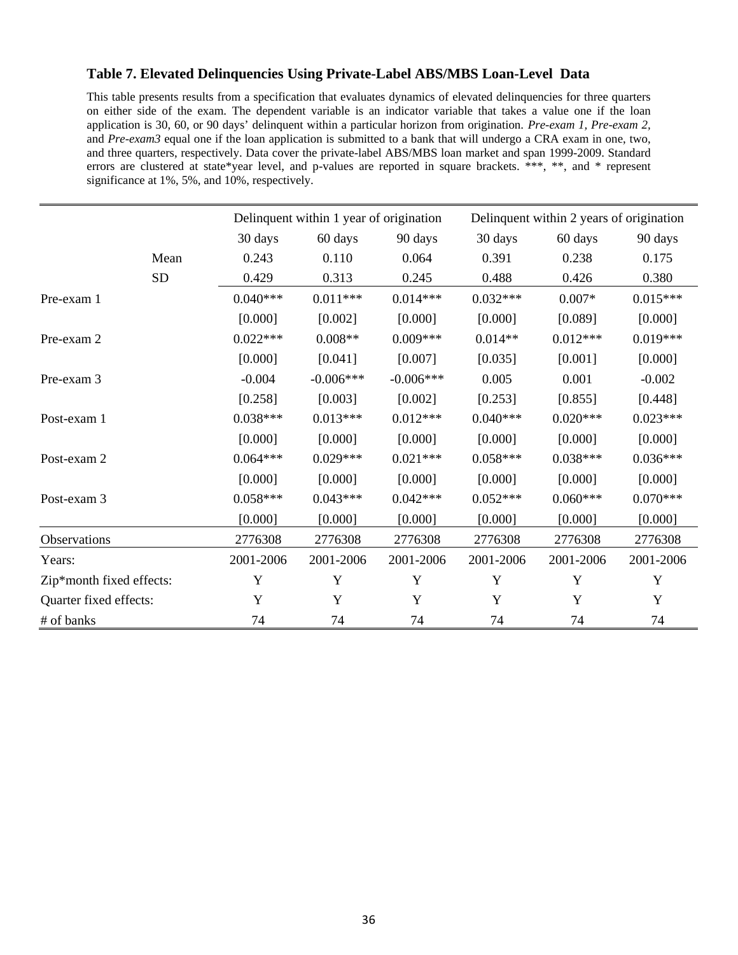# **Table 7. Elevated Delinquencies Using Private-Label ABS/MBS Loan-Level Data**

This table presents results from a specification that evaluates dynamics of elevated delinquencies for three quarters on either side of the exam. The dependent variable is an indicator variable that takes a value one if the loan application is 30, 60, or 90 days' delinquent within a particular horizon from origination. *Pre-exam 1, Pre-exam 2,*  and *Pre-exam3* equal one if the loan application is submitted to a bank that will undergo a CRA exam in one, two, and three quarters, respectively. Data cover the private-label ABS/MBS loan market and span 1999-2009. Standard errors are clustered at state\*year level, and p-values are reported in square brackets. \*\*\*, \*\*, and \* represent significance at 1%, 5%, and 10%, respectively.

|                          |           | Delinquent within 1 year of origination |             |             | Delinquent within 2 years of origination |            |            |  |
|--------------------------|-----------|-----------------------------------------|-------------|-------------|------------------------------------------|------------|------------|--|
|                          |           | 30 days                                 | 60 days     | 90 days     | 30 days                                  | 60 days    | 90 days    |  |
|                          | Mean      | 0.243                                   | 0.110       | 0.064       | 0.391                                    | 0.238      | 0.175      |  |
|                          | <b>SD</b> | 0.429                                   | 0.313       | 0.245       | 0.488                                    | 0.426      | 0.380      |  |
| Pre-exam 1               |           | $0.040***$                              | $0.011***$  | $0.014***$  | $0.032***$                               | $0.007*$   | $0.015***$ |  |
|                          |           | [0.000]                                 | [0.002]     | [0.000]     | [0.000]                                  | [0.089]    | [0.000]    |  |
| Pre-exam 2               |           | $0.022***$                              | $0.008**$   | $0.009***$  | $0.014**$                                | $0.012***$ | $0.019***$ |  |
|                          |           | [0.000]                                 | [0.041]     | [0.007]     | [0.035]                                  | [0.001]    | [0.000]    |  |
| Pre-exam 3               |           | $-0.004$                                | $-0.006***$ | $-0.006***$ | 0.005                                    | 0.001      | $-0.002$   |  |
|                          |           | [0.258]                                 | [0.003]     | [0.002]     | [0.253]                                  | [0.855]    | [0.448]    |  |
| Post-exam 1              |           | $0.038***$                              | $0.013***$  | $0.012***$  | $0.040***$                               | $0.020***$ | $0.023***$ |  |
|                          |           | [0.000]                                 | [0.000]     | [0.000]     | [0.000]                                  | [0.000]    | [0.000]    |  |
| Post-exam 2              |           | $0.064***$                              | $0.029***$  | $0.021***$  | $0.058***$                               | $0.038***$ | $0.036***$ |  |
|                          |           | [0.000]                                 | [0.000]     | [0.000]     | [0.000]                                  | [0.000]    | [0.000]    |  |
| Post-exam 3              |           | $0.058***$                              | $0.043***$  | $0.042***$  | $0.052***$                               | $0.060***$ | $0.070***$ |  |
|                          |           | [0.000]                                 | [0.000]     | [0.000]     | [0.000]                                  | [0.000]    | [0.000]    |  |
| Observations             |           | 2776308                                 | 2776308     | 2776308     | 2776308                                  | 2776308    | 2776308    |  |
| Years:                   |           | 2001-2006                               | 2001-2006   | 2001-2006   | 2001-2006                                | 2001-2006  | 2001-2006  |  |
| Zip*month fixed effects: |           | Y                                       | Y           | Y           | Y                                        | Y          | Y          |  |
| Quarter fixed effects:   |           | Y                                       | Y           | Y           | Y                                        | Y          | Y          |  |
| # of banks               |           | 74                                      | 74          | 74          | 74                                       | 74         | 74         |  |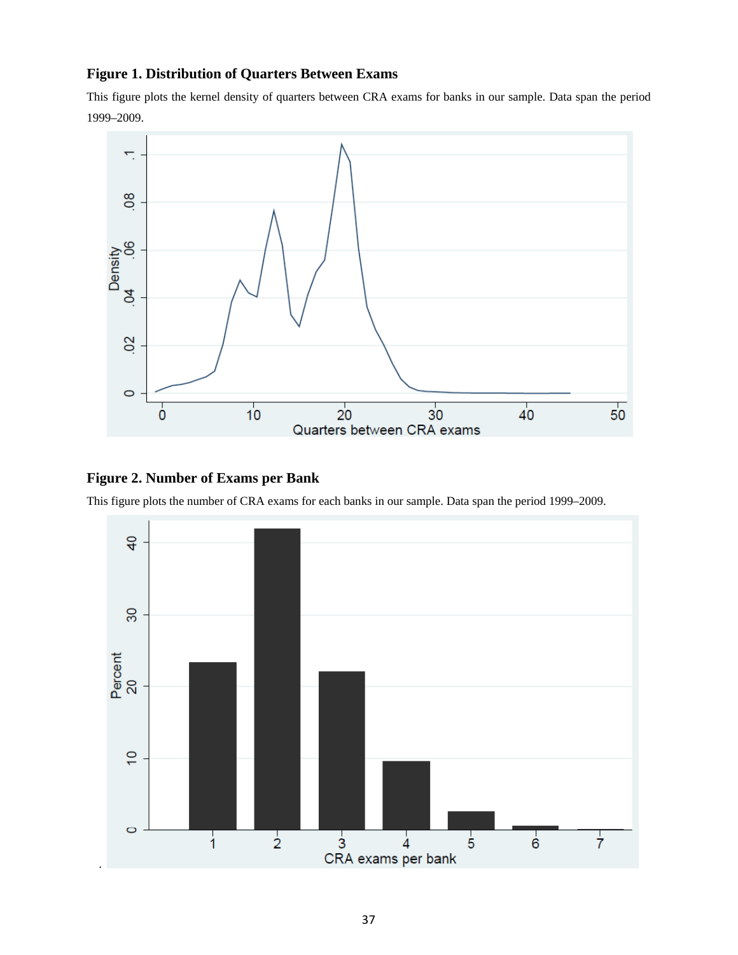# **Figure 1. Distribution of Quarters Between Exams**

This figure plots the kernel density of quarters between CRA exams for banks in our sample. Data span the period 1999–2009.



# **Figure 2. Number of Exams per Bank**

This figure plots the number of CRA exams for each banks in our sample. Data span the period 1999–2009.

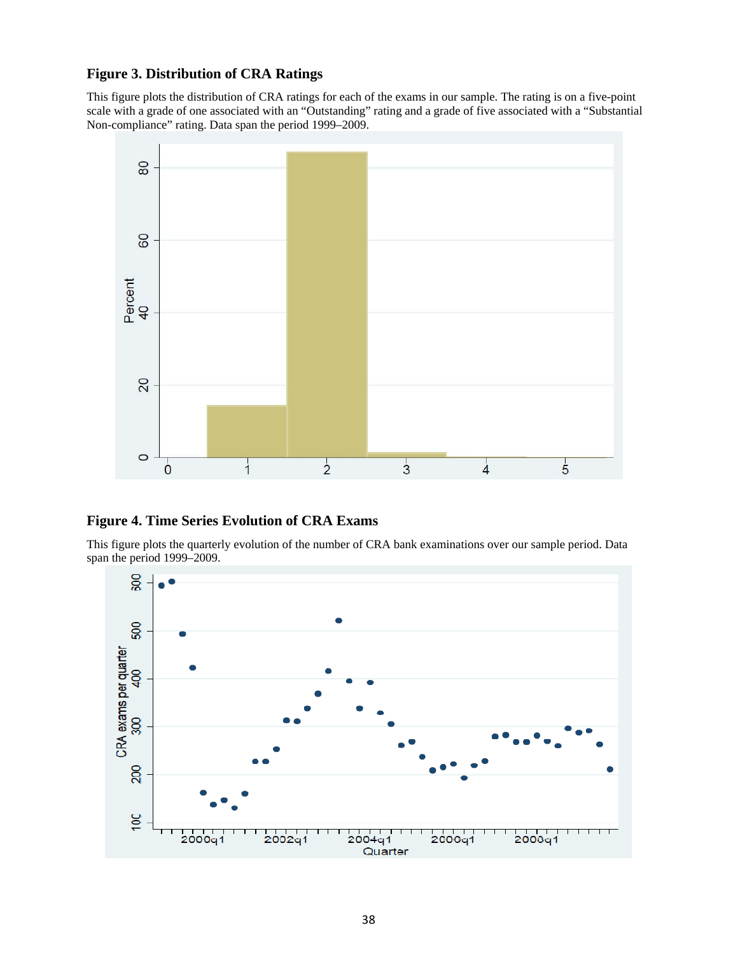# **Figure 3. Distribution of CRA Ratings**

This figure plots the distribution of CRA ratings for each of the exams in our sample. The rating is on a five-point scale with a grade of one associated with an "Outstanding" rating and a grade of five associated with a "Substantial Non-compliance" rating. Data span the period 1999–2009.



# **Figure 4. Time Series Evolution of CRA Exams**

This figure plots the quarterly evolution of the number of CRA bank examinations over our sample period. Data span the period 1999–2009.

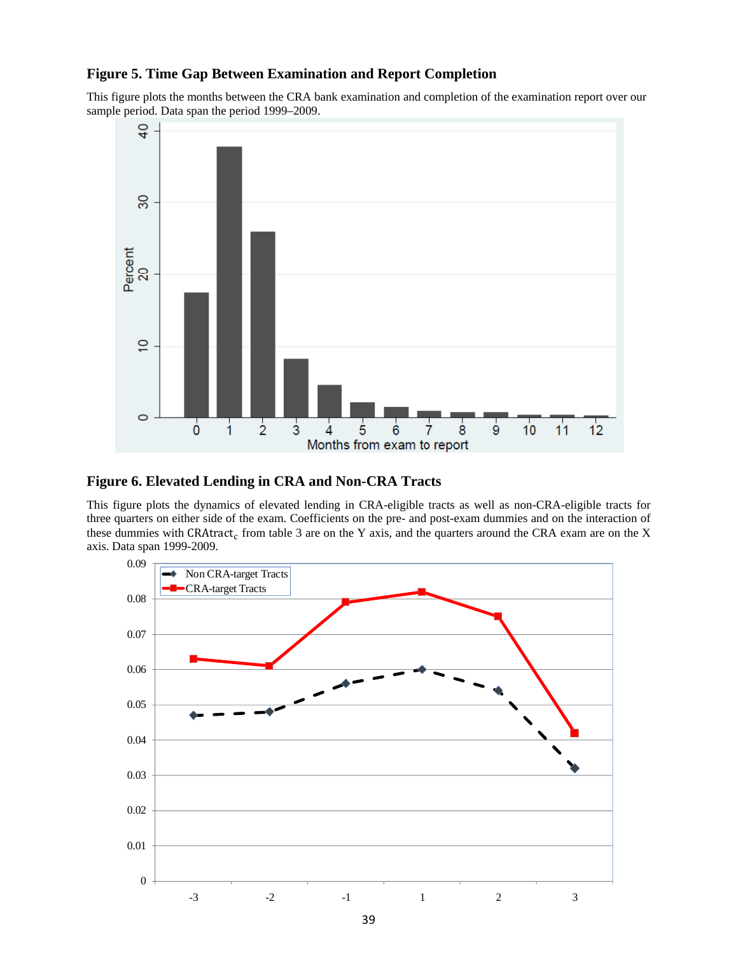# **Figure 5. Time Gap Between Examination and Report Completion**

This figure plots the months between the CRA bank examination and completion of the examination report over our sample period. Data span the period 1999–2009.



#### **Figure 6. Elevated Lending in CRA and Non-CRA Tracts**

This figure plots the dynamics of elevated lending in CRA-eligible tracts as well as non-CRA-eligible tracts for three quarters on either side of the exam. Coefficients on the pre- and post-exam dummies and on the interaction of these dummies with CRAtract<sub>c</sub> from table 3 are on the Y axis, and the quarters around the CRA exam are on the X axis. Data span 1999-2009.

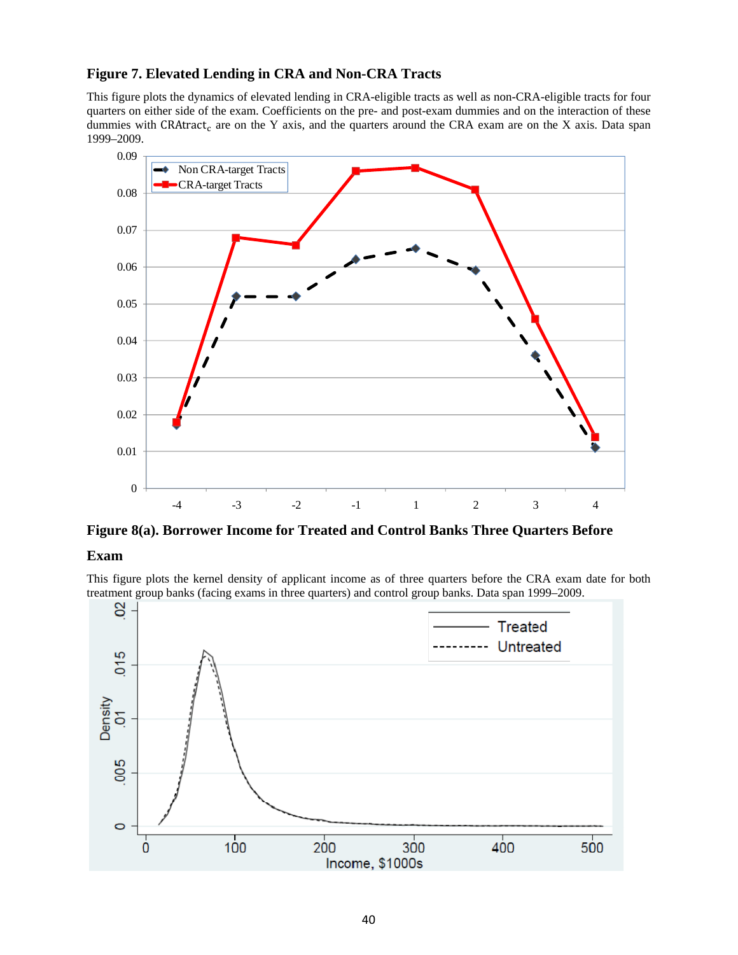# **Figure 7. Elevated Lending in CRA and Non-CRA Tracts**

This figure plots the dynamics of elevated lending in CRA-eligible tracts as well as non-CRA-eligible tracts for four quarters on either side of the exam. Coefficients on the pre- and post-exam dummies and on the interaction of these dummies with CRAtract<sub>c</sub> are on the Y axis, and the quarters around the CRA exam are on the X axis. Data span 1999–2009.



**Figure 8(a). Borrower Income for Treated and Control Banks Three Quarters Before** 

#### **Exam**

This figure plots the kernel density of applicant income as of three quarters before the CRA exam date for both treatment group banks (facing exams in three quarters) and control group banks. Data span 1999–2009.

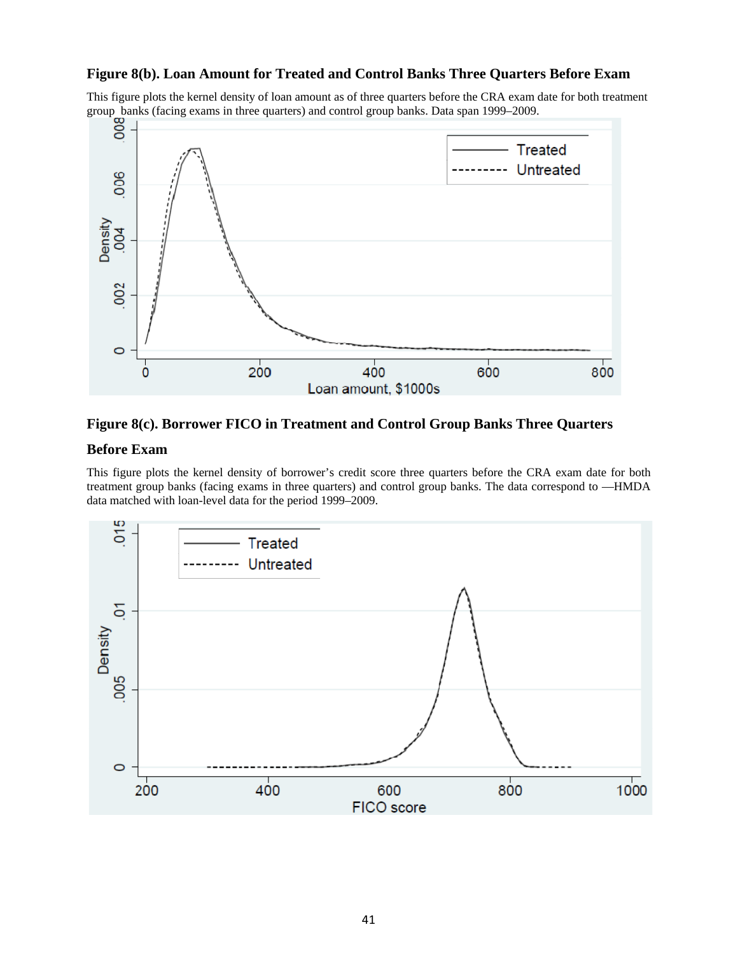# **Figure 8(b). Loan Amount for Treated and Control Banks Three Quarters Before Exam**

This figure plots the kernel density of loan amount as of three quarters before the CRA exam date for both treatment



### **Figure 8(c). Borrower FICO in Treatment and Control Group Banks Three Quarters**

#### **Before Exam**

This figure plots the kernel density of borrower's credit score three quarters before the CRA exam date for both treatment group banks (facing exams in three quarters) and control group banks. The data correspond to —HMDA data matched with loan-level data for the period 1999–2009.

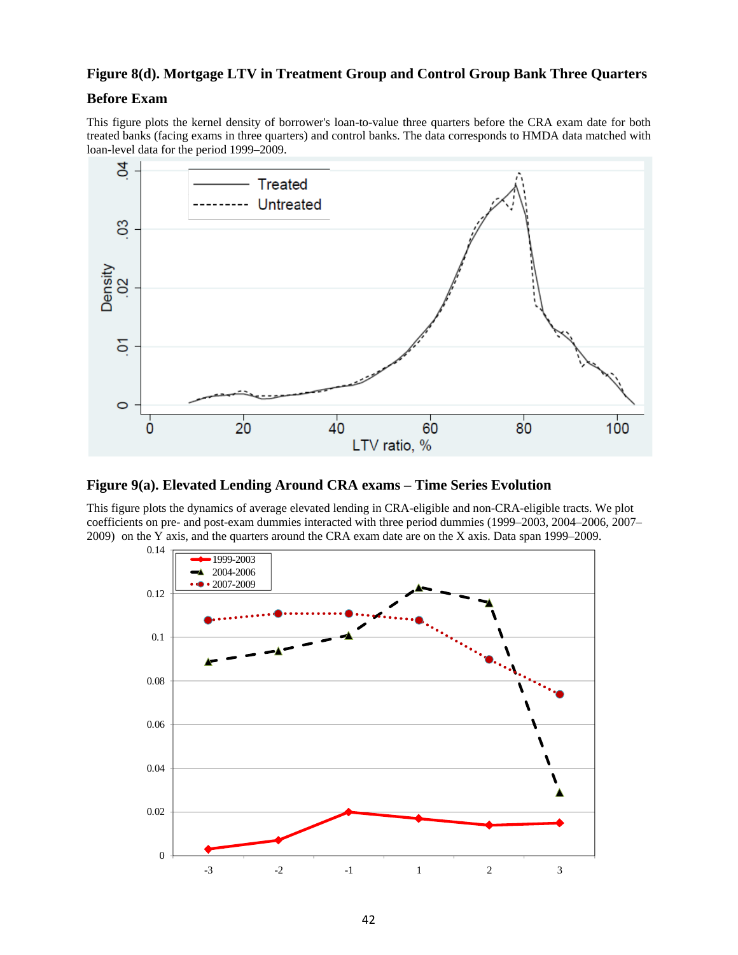## **Figure 8(d). Mortgage LTV in Treatment Group and Control Group Bank Three Quarters**

#### **Before Exam**

This figure plots the kernel density of borrower's loan-to-value three quarters before the CRA exam date for both treated banks (facing exams in three quarters) and control banks. The data corresponds to HMDA data matched with loan-level data for the period 1999–2009.



**Figure 9(a). Elevated Lending Around CRA exams – Time Series Evolution** 

This figure plots the dynamics of average elevated lending in CRA-eligible and non-CRA-eligible tracts. We plot coefficients on pre- and post-exam dummies interacted with three period dummies (1999–2003, 2004–2006, 2007– 2009) on the Y axis, and the quarters around the CRA exam date are on the X axis. Data span 1999–2009.